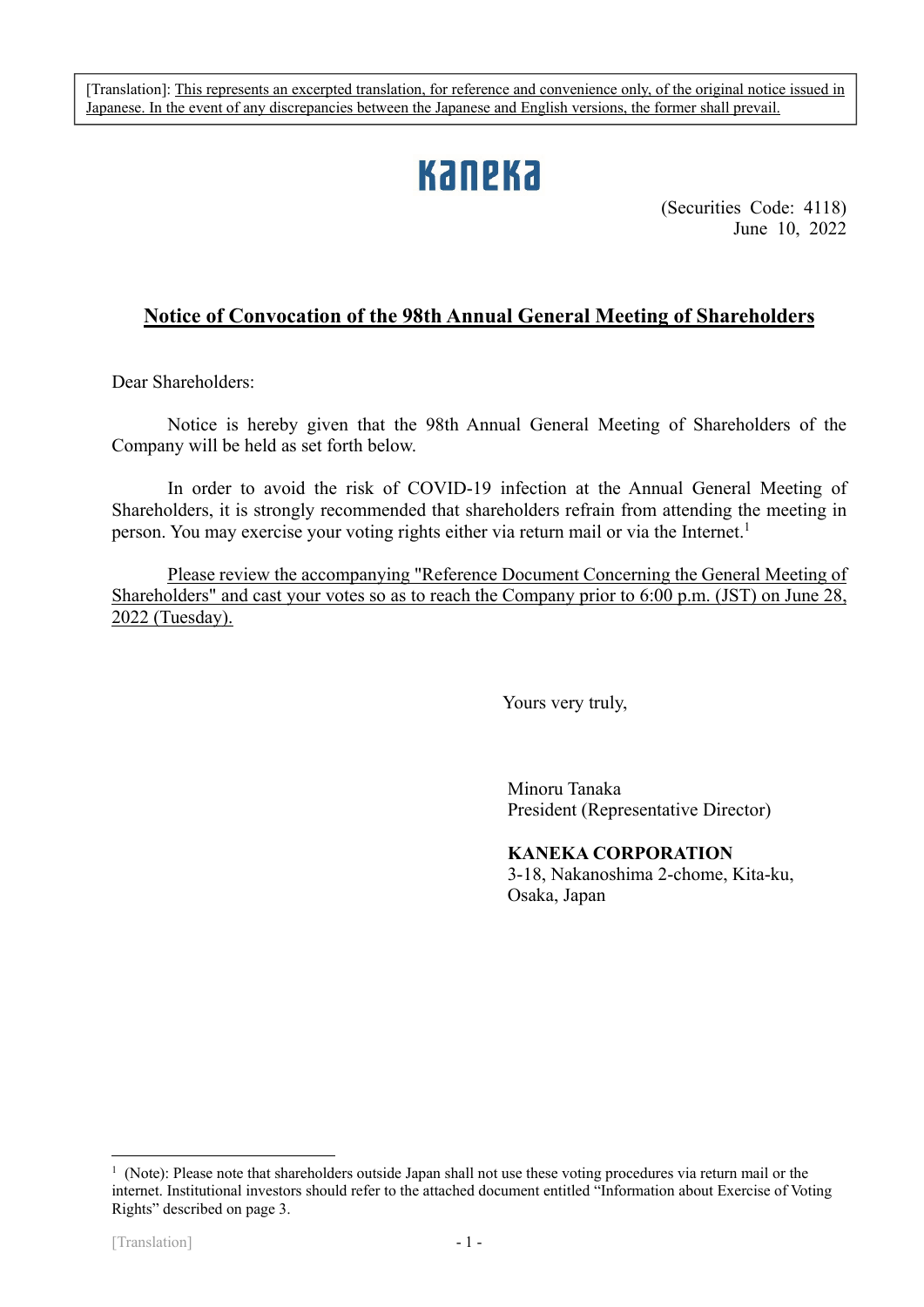[Translation]: This represents an excerpted translation, for reference and convenience only, of the original notice issued in Japanese. In the event of any discrepancies between the Japanese and English versions, the former shall prevail.

# **Kaneka**

(Securities Code: 4118) June 10, 2022

# **Notice of Convocation of the 98th Annual General Meeting of Shareholders**

Dear Shareholders:

Notice is hereby given that the 98th Annual General Meeting of Shareholders of the Company will be held as set forth below.

In order to avoid the risk of COVID-19 infection at the Annual General Meeting of Shareholders, it is strongly recommended that shareholders refrain from attending the meeting in person. You may exercise your voting rights either via return mail or via the Internet.<sup>1</sup>

Please review the accompanying "Reference Document Concerning the General Meeting of Shareholders" and cast your votes so as to reach the Company prior to 6:00 p.m. (JST) on June 28, 2022 (Tuesday).

Yours very truly,

Minoru Tanaka President (Representative Director)

# **KANEKA CORPORATION**

3-18, Nakanoshima 2-chome, Kita-ku, Osaka, Japan

1

<sup>&</sup>lt;sup>1</sup> (Note): Please note that shareholders outside Japan shall not use these voting procedures via return mail or the internet. Institutional investors should refer to the attached document entitled "Information about Exercise of Voting Rights" described on page 3.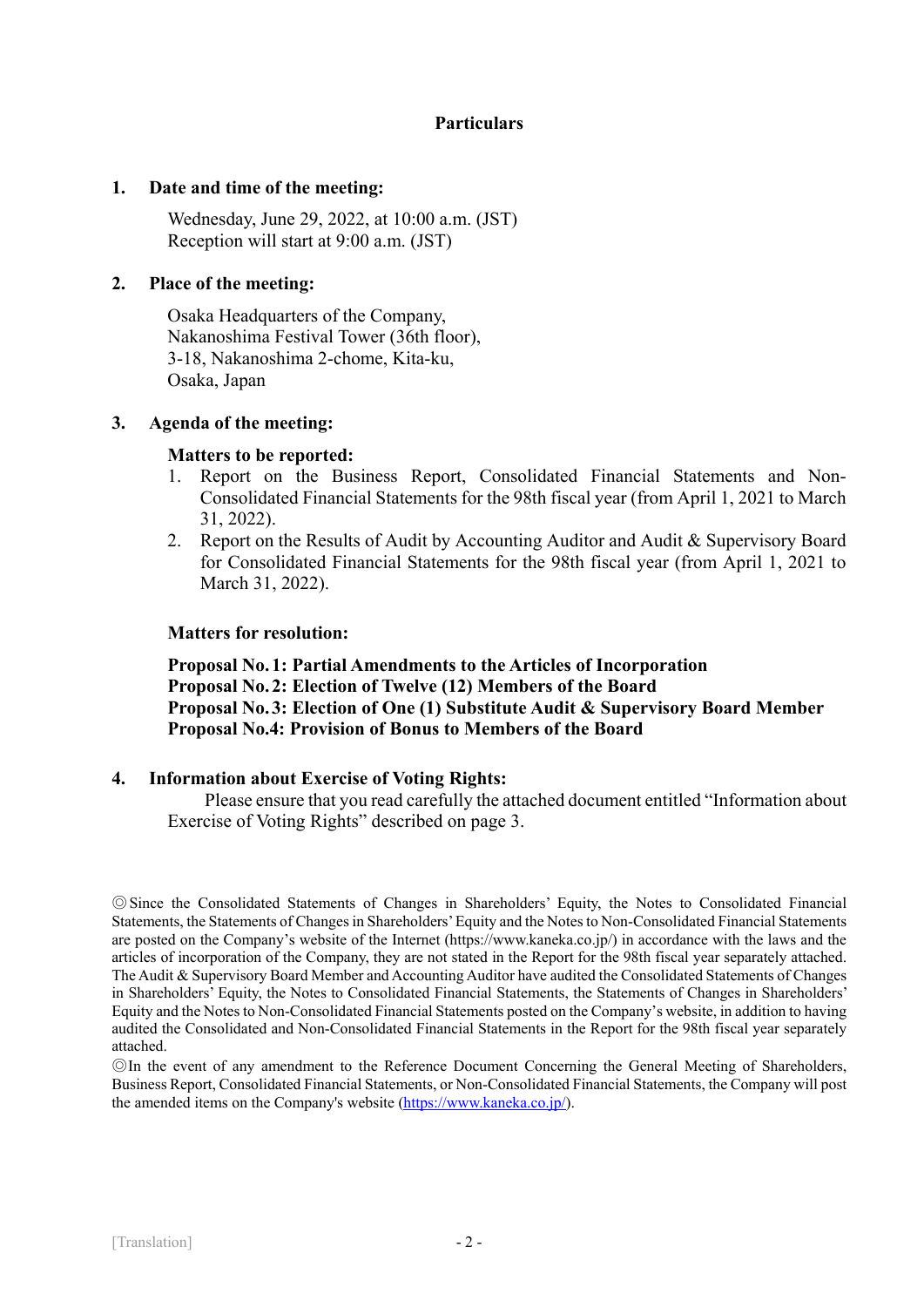# **Particulars**

## **1. Date and time of the meeting:**

Wednesday, June 29, 2022, at 10:00 a.m. (JST) Reception will start at 9:00 a.m. (JST)

## **2. Place of the meeting:**

Osaka Headquarters of the Company, Nakanoshima Festival Tower (36th floor), 3-18, Nakanoshima 2-chome, Kita-ku, Osaka, Japan

## **3. Agenda of the meeting:**

## **Matters to be reported:**

- 1. Report on the Business Report, Consolidated Financial Statements and Non-Consolidated Financial Statements for the 98th fiscal year (from April 1, 2021 to March 31, 2022).
- 2. Report on the Results of Audit by Accounting Auditor and Audit & Supervisory Board for Consolidated Financial Statements for the 98th fiscal year (from April 1, 2021 to March 31, 2022).

## **Matters for resolution:**

**Proposal No. 1: Partial Amendments to the Articles of Incorporation Proposal No. 2: Election of Twelve (12) Members of the Board Proposal No. 3: Election of One (1) Substitute Audit & Supervisory Board Member Proposal No.4: Provision of Bonus to Members of the Board** 

# **4. Information about Exercise of Voting Rights:**

Please ensure that you read carefully the attached document entitled "Information about Exercise of Voting Rights" described on page 3.

◎Since the Consolidated Statements of Changes in Shareholders' Equity, the Notes to Consolidated Financial Statements, the Statements of Changes in Shareholders' Equity and the Notes to Non-Consolidated Financial Statements are posted on the Company's website of the Internet (https://www.kaneka.co.jp/) in accordance with the laws and the articles of incorporation of the Company, they are not stated in the Report for the 98th fiscal year separately attached. The Audit & Supervisory Board Member and Accounting Auditor have audited the Consolidated Statements of Changes in Shareholders' Equity, the Notes to Consolidated Financial Statements, the Statements of Changes in Shareholders' Equity and the Notes to Non-Consolidated Financial Statements posted on the Company's website, in addition to having audited the Consolidated and Non-Consolidated Financial Statements in the Report for the 98th fiscal year separately attached.

◎In the event of any amendment to the Reference Document Concerning the General Meeting of Shareholders, Business Report, Consolidated Financial Statements, or Non-Consolidated Financial Statements, the Company will post the amended items on the Company's website (https://www.kaneka.co.jp/).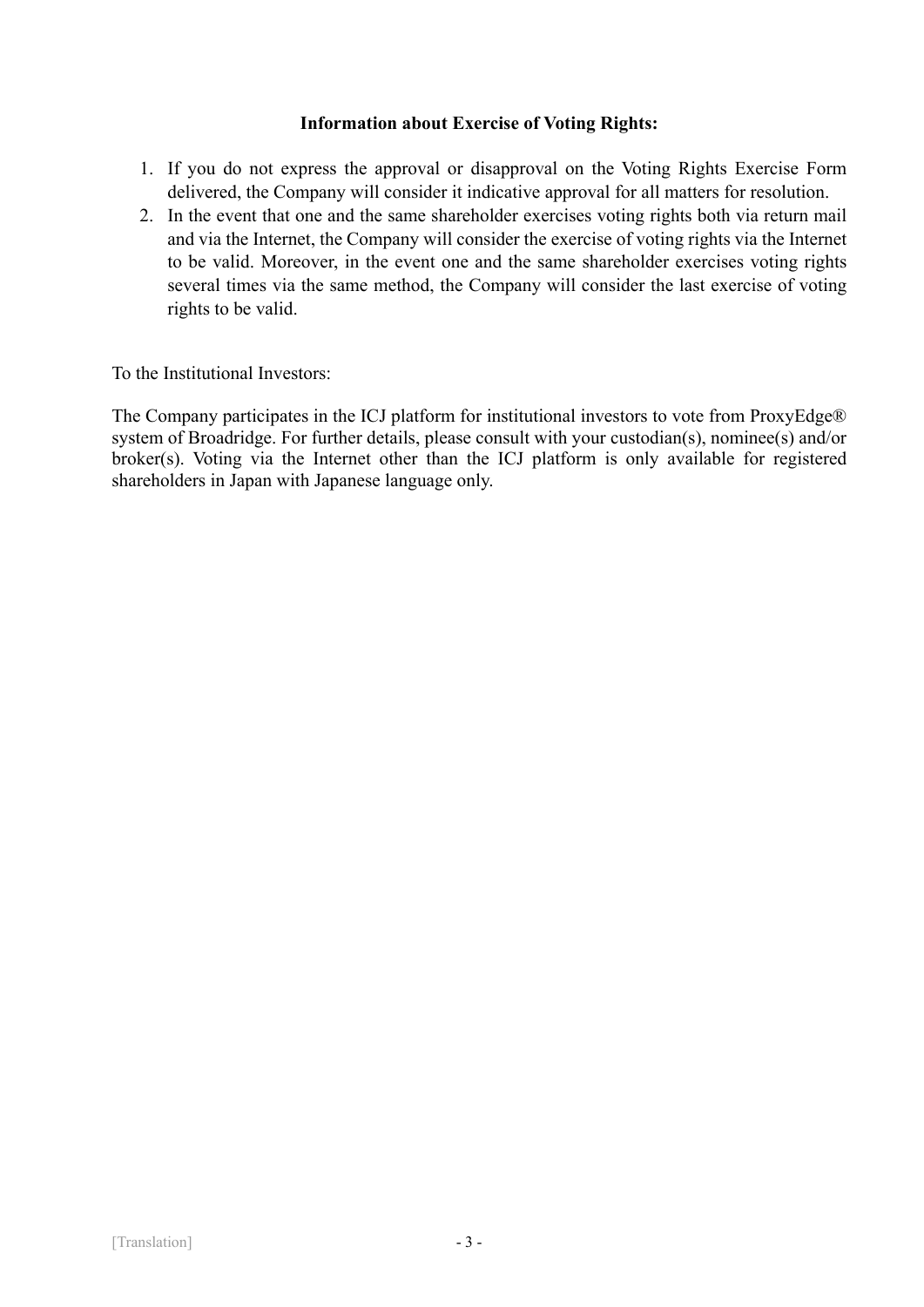# **Information about Exercise of Voting Rights:**

- 1. If you do not express the approval or disapproval on the Voting Rights Exercise Form delivered, the Company will consider it indicative approval for all matters for resolution.
- 2. In the event that one and the same shareholder exercises voting rights both via return mail and via the Internet, the Company will consider the exercise of voting rights via the Internet to be valid. Moreover, in the event one and the same shareholder exercises voting rights several times via the same method, the Company will consider the last exercise of voting rights to be valid.

To the Institutional Investors:

The Company participates in the ICJ platform for institutional investors to vote from ProxyEdge® system of Broadridge. For further details, please consult with your custodian(s), nominee(s) and/or broker(s). Voting via the Internet other than the ICJ platform is only available for registered shareholders in Japan with Japanese language only.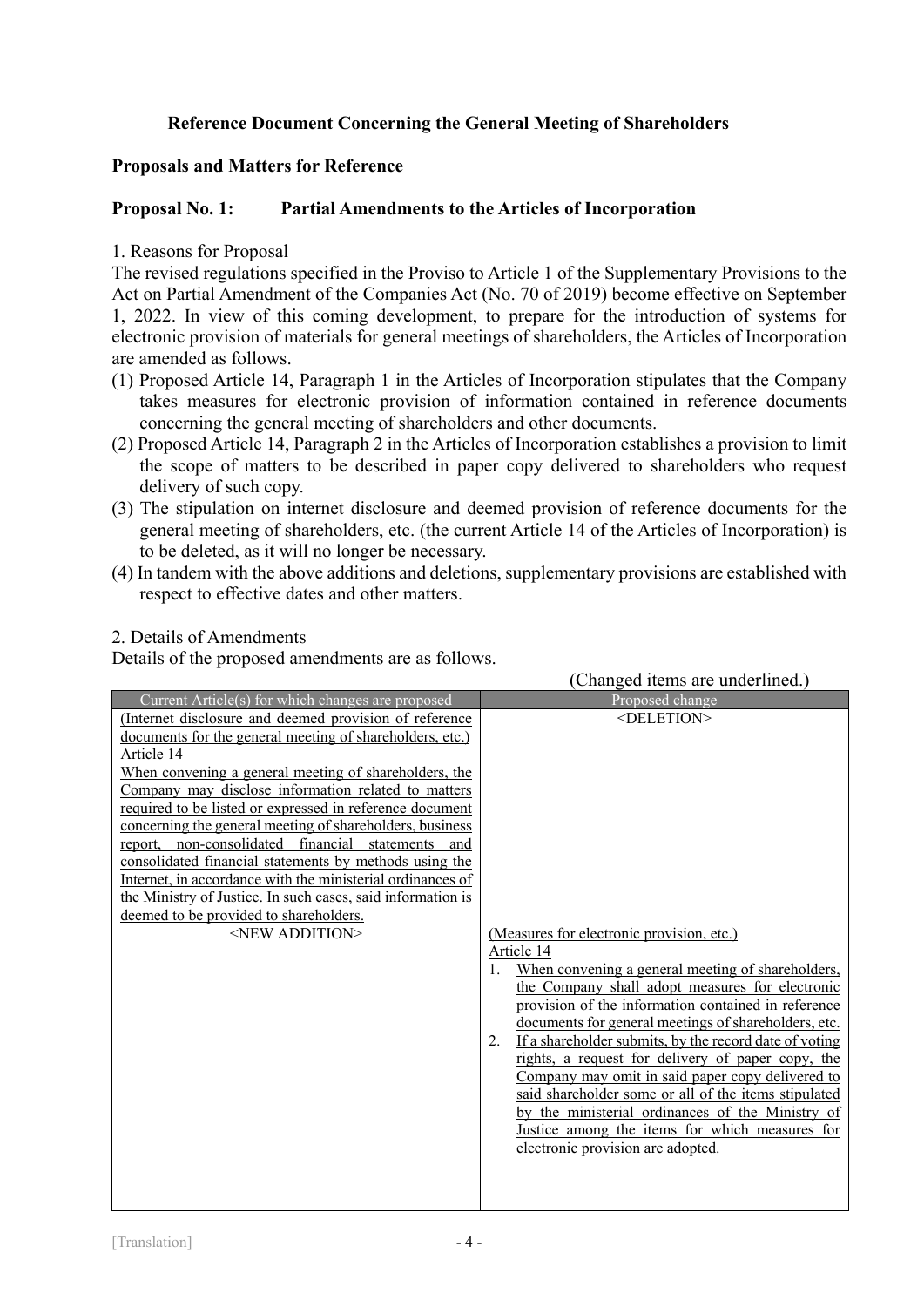# **Reference Document Concerning the General Meeting of Shareholders**

# **Proposals and Matters for Reference**

# **Proposal No. 1: Partial Amendments to the Articles of Incorporation**

# 1. Reasons for Proposal

The revised regulations specified in the Proviso to Article 1 of the Supplementary Provisions to the Act on Partial Amendment of the Companies Act (No. 70 of 2019) become effective on September 1, 2022. In view of this coming development, to prepare for the introduction of systems for electronic provision of materials for general meetings of shareholders, the Articles of Incorporation are amended as follows.

- (1) Proposed Article 14, Paragraph 1 in the Articles of Incorporation stipulates that the Company takes measures for electronic provision of information contained in reference documents concerning the general meeting of shareholders and other documents.
- (2) Proposed Article 14, Paragraph 2 in the Articles of Incorporation establishes a provision to limit the scope of matters to be described in paper copy delivered to shareholders who request delivery of such copy.
- (3) The stipulation on internet disclosure and deemed provision of reference documents for the general meeting of shareholders, etc. (the current Article 14 of the Articles of Incorporation) is to be deleted, as it will no longer be necessary.
- (4) In tandem with the above additions and deletions, supplementary provisions are established with respect to effective dates and other matters.

# 2. Details of Amendments

Details of the proposed amendments are as follows.

|                                                             | (Changed items are underlined.)                                                                          |
|-------------------------------------------------------------|----------------------------------------------------------------------------------------------------------|
| Current Article(s) for which changes are proposed           | Proposed change                                                                                          |
| (Internet disclosure and deemed provision of reference      | <deletion></deletion>                                                                                    |
| documents for the general meeting of shareholders, etc.)    |                                                                                                          |
| Article 14                                                  |                                                                                                          |
| When convening a general meeting of shareholders, the       |                                                                                                          |
| Company may disclose information related to matters         |                                                                                                          |
| required to be listed or expressed in reference document    |                                                                                                          |
| concerning the general meeting of shareholders, business    |                                                                                                          |
| report, non-consolidated financial statements<br>– and      |                                                                                                          |
| consolidated financial statements by methods using the      |                                                                                                          |
| Internet, in accordance with the ministerial ordinances of  |                                                                                                          |
| the Ministry of Justice. In such cases, said information is |                                                                                                          |
| deemed to be provided to shareholders.                      |                                                                                                          |
| <new addition=""></new>                                     | (Measures for electronic provision, etc.)                                                                |
|                                                             | Article 14                                                                                               |
|                                                             | When convening a general meeting of shareholders,                                                        |
|                                                             | the Company shall adopt measures for electronic                                                          |
|                                                             | provision of the information contained in reference                                                      |
|                                                             | documents for general meetings of shareholders, etc.                                                     |
|                                                             | If a shareholder submits, by the record date of voting<br>2.                                             |
|                                                             | rights, a request for delivery of paper copy, the                                                        |
|                                                             | Company may omit in said paper copy delivered to<br>said shareholder some or all of the items stipulated |
|                                                             | by the ministerial ordinances of the Ministry of                                                         |
|                                                             | Justice among the items for which measures for                                                           |
|                                                             | electronic provision are adopted.                                                                        |
|                                                             |                                                                                                          |
|                                                             |                                                                                                          |
|                                                             |                                                                                                          |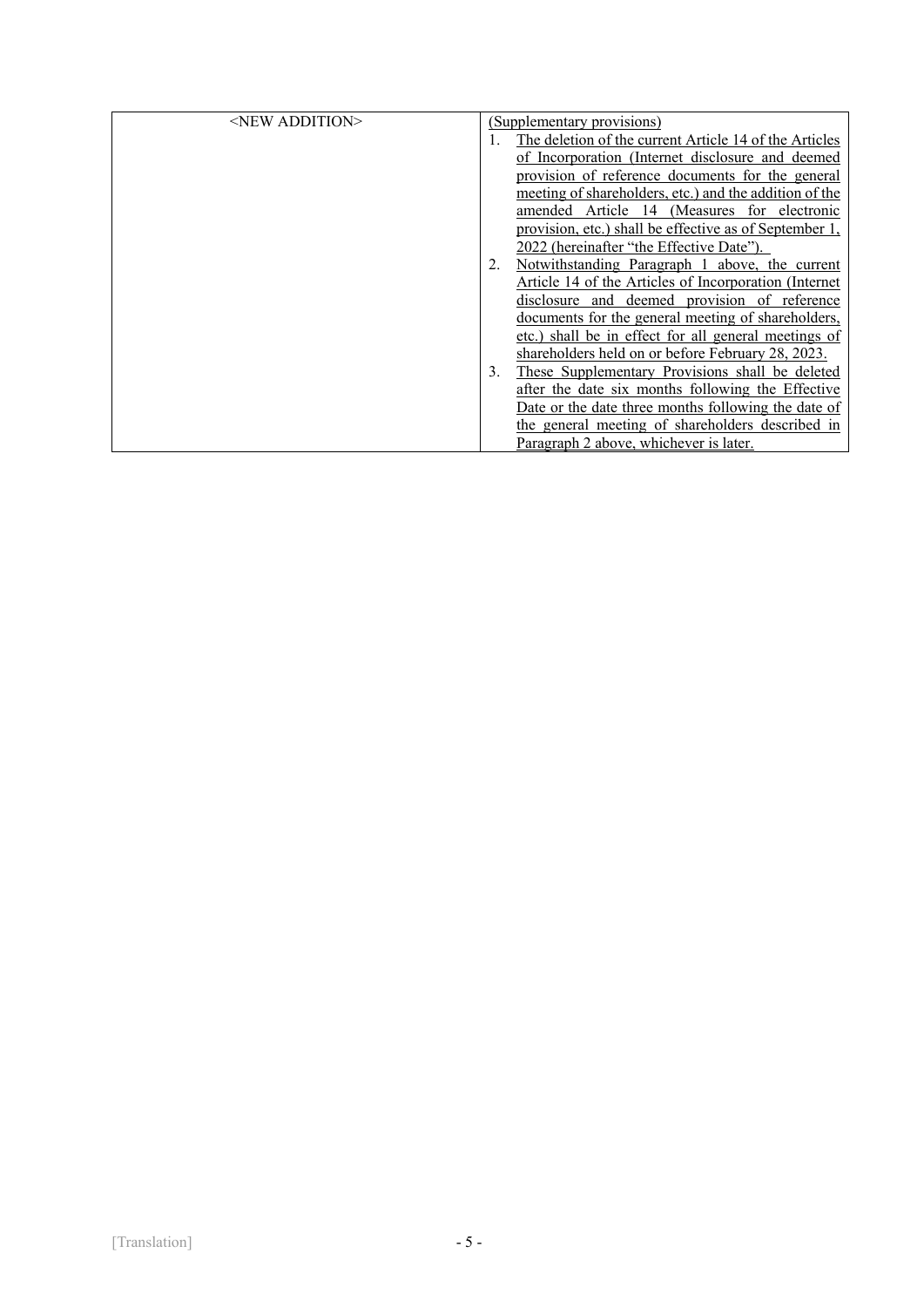| $\le$ NEW ADDITION $>$ |    | (Supplementary provisions)                             |
|------------------------|----|--------------------------------------------------------|
|                        |    | The deletion of the current Article 14 of the Articles |
|                        |    | of Incorporation (Internet disclosure and deemed       |
|                        |    | provision of reference documents for the general       |
|                        |    | meeting of shareholders, etc.) and the addition of the |
|                        |    | amended Article 14 (Measures for electronic            |
|                        |    | provision, etc.) shall be effective as of September 1, |
|                        |    | 2022 (hereinafter "the Effective Date").               |
|                        |    | Notwithstanding Paragraph 1 above, the current         |
|                        |    | Article 14 of the Articles of Incorporation (Internet) |
|                        |    | disclosure and deemed provision of reference           |
|                        |    | documents for the general meeting of shareholders,     |
|                        |    | etc.) shall be in effect for all general meetings of   |
|                        |    | shareholders held on or before February 28, 2023.      |
|                        | 3. | These Supplementary Provisions shall be deleted        |
|                        |    | after the date six months following the Effective      |
|                        |    | Date or the date three months following the date of    |
|                        |    | the general meeting of shareholders described in       |
|                        |    | Paragraph 2 above, whichever is later.                 |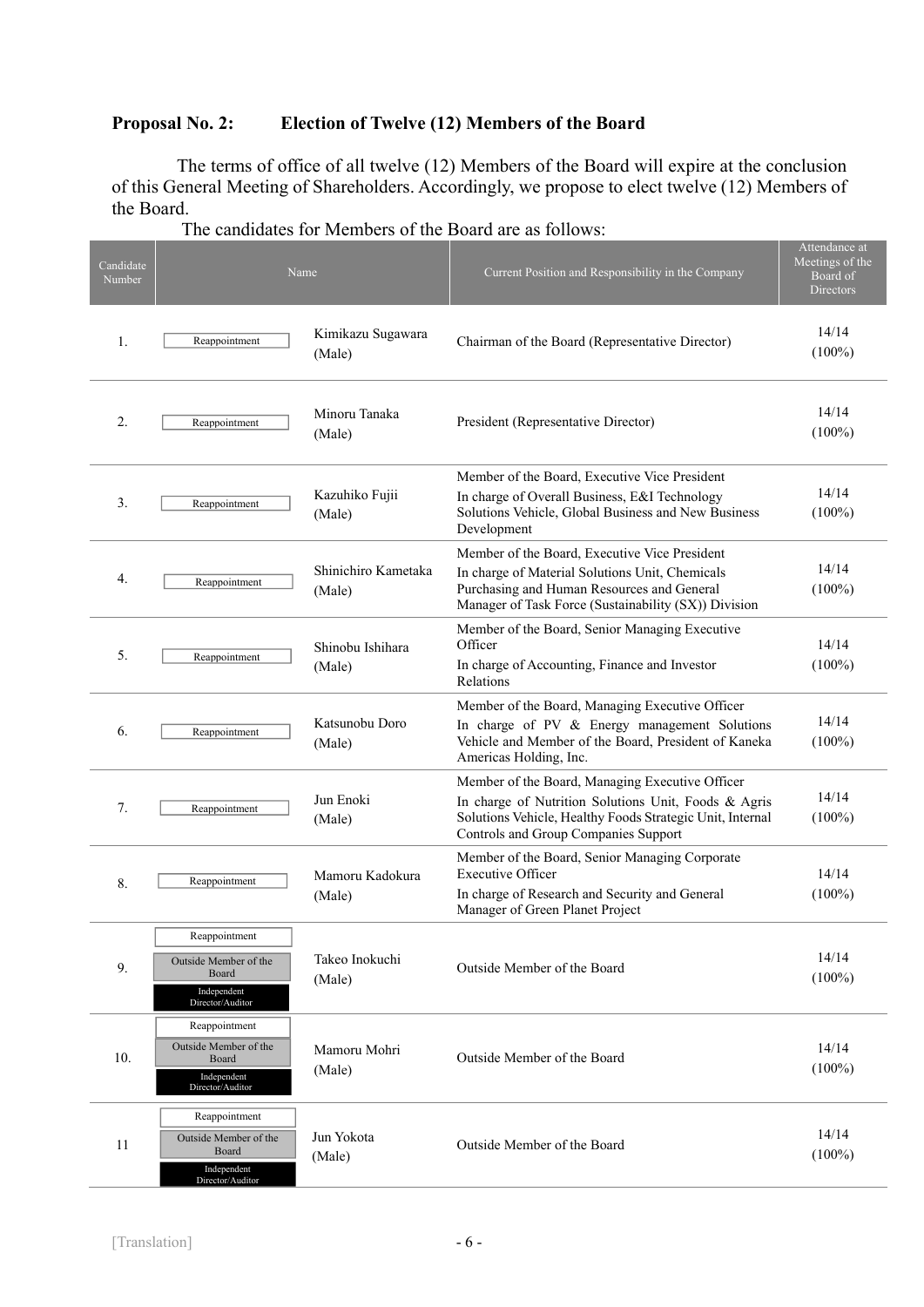# **Proposal No. 2: Election of Twelve (12) Members of the Board**

The terms of office of all twelve (12) Members of the Board will expire at the conclusion of this General Meeting of Shareholders. Accordingly, we propose to elect twelve (12) Members of the Board.

| Candidate<br>Number |                                                                                    | Name                          | Current Position and Responsibility in the Company                                                                                                                                                           | Attendance at<br>Meetings of the<br>Board of<br>Directors |
|---------------------|------------------------------------------------------------------------------------|-------------------------------|--------------------------------------------------------------------------------------------------------------------------------------------------------------------------------------------------------------|-----------------------------------------------------------|
| 1.                  | Reappointment                                                                      | Kimikazu Sugawara<br>(Male)   | Chairman of the Board (Representative Director)                                                                                                                                                              | 14/14<br>$(100\%)$                                        |
| 2.                  | Reappointment                                                                      | Minoru Tanaka<br>(Male)       | President (Representative Director)                                                                                                                                                                          | 14/14<br>$(100\%)$                                        |
| 3.                  | Reappointment                                                                      | Kazuhiko Fujii<br>(Male)      | Member of the Board, Executive Vice President<br>In charge of Overall Business, E&I Technology<br>Solutions Vehicle, Global Business and New Business<br>Development                                         | 14/14<br>$(100\%)$                                        |
| 4.                  | Reappointment                                                                      | Shinichiro Kametaka<br>(Male) | Member of the Board, Executive Vice President<br>In charge of Material Solutions Unit, Chemicals<br>Purchasing and Human Resources and General<br>Manager of Task Force (Sustainability (SX)) Division       | 14/14<br>$(100\%)$                                        |
| 5.                  | Reappointment                                                                      | Shinobu Ishihara<br>(Male)    | Member of the Board, Senior Managing Executive<br>Officer<br>In charge of Accounting, Finance and Investor<br>Relations                                                                                      | 14/14<br>$(100\%)$                                        |
| 6.                  | Reappointment                                                                      | Katsunobu Doro<br>(Male)      | Member of the Board, Managing Executive Officer<br>In charge of PV & Energy management Solutions<br>Vehicle and Member of the Board, President of Kaneka<br>Americas Holding, Inc.                           | 14/14<br>$(100\%)$                                        |
| 7.                  | Reappointment                                                                      | Jun Enoki<br>(Male)           | Member of the Board, Managing Executive Officer<br>In charge of Nutrition Solutions Unit, Foods & Agris<br>Solutions Vehicle, Healthy Foods Strategic Unit, Internal<br>Controls and Group Companies Support | 14/14<br>$(100\%)$                                        |
| 8.                  | Reappointment                                                                      | Mamoru Kadokura<br>(Male)     | Member of the Board, Senior Managing Corporate<br><b>Executive Officer</b><br>In charge of Research and Security and General<br>Manager of Green Planet Project                                              | 14/14<br>$(100\%)$                                        |
| 9.                  | Reappointment<br>Outside Member of the<br>Board<br>Independent<br>Director/Auditor | Takeo Inokuchi<br>(Male)      | Outside Member of the Board                                                                                                                                                                                  | 14/14<br>$(100\%)$                                        |
| 10.                 | Reappointment<br>Outside Member of the<br>Board<br>Independent<br>Director/Auditor | Mamoru Mohri<br>(Male)        | Outside Member of the Board                                                                                                                                                                                  | 14/14<br>$(100\%)$                                        |
| 11                  | Reappointment<br>Outside Member of the<br>Board<br>Independent<br>Director/Auditor | Jun Yokota<br>(Male)          | Outside Member of the Board                                                                                                                                                                                  | 14/14<br>$(100\%)$                                        |

| The candidates for Members of the Board are as follows: |  |  |  |  |  |  |  |  |  |
|---------------------------------------------------------|--|--|--|--|--|--|--|--|--|
|---------------------------------------------------------|--|--|--|--|--|--|--|--|--|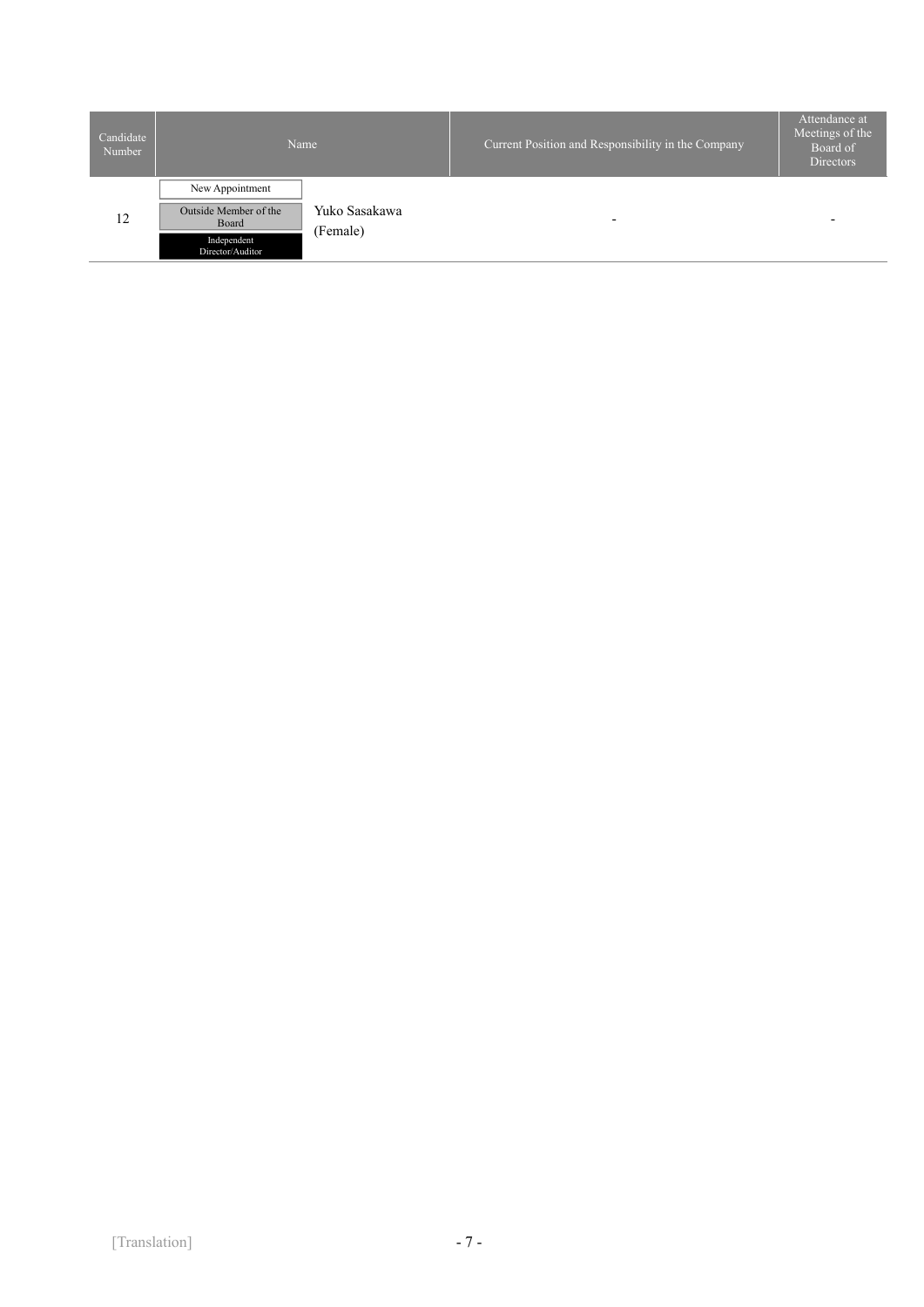| Candidate<br>Number |                                 | Name                      | Current Position and Responsibility in the Company | Attendance at<br>Meetings of the<br>Board of<br><b>Directors</b> |
|---------------------|---------------------------------|---------------------------|----------------------------------------------------|------------------------------------------------------------------|
|                     | New Appointment                 |                           |                                                    |                                                                  |
| 12                  | Outside Member of the<br>Board  | Yuko Sasakawa<br>(Female) | $\overline{\phantom{0}}$                           | $\overline{\phantom{0}}$                                         |
|                     | Independent<br>Director/Auditor |                           |                                                    |                                                                  |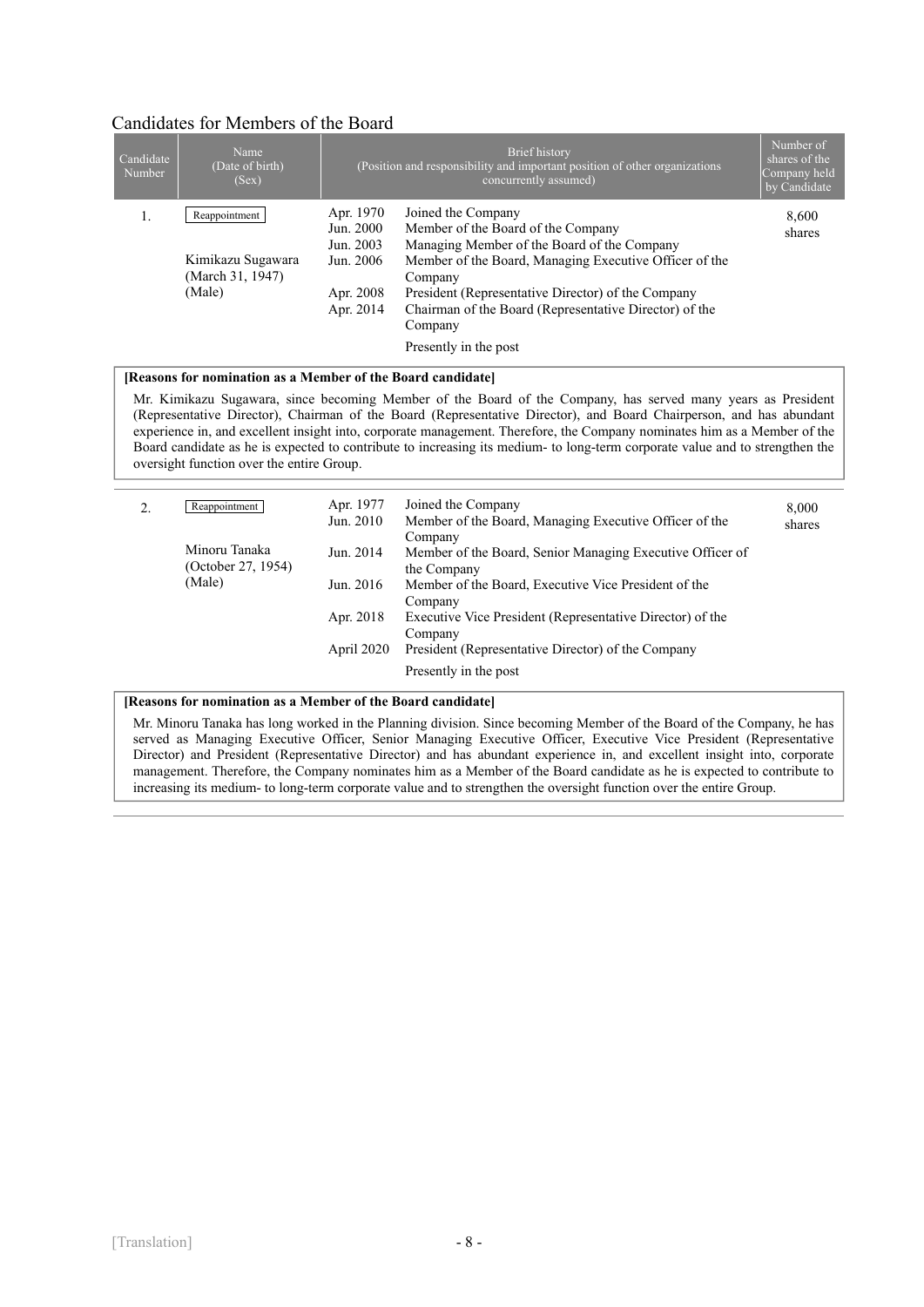## Candidates for Members of the Board

| Candidate<br>Number | Name<br>(Date of birth)<br>(Sex)   |                                                  | Brief history<br>(Position and responsibility and important position of other organizations<br>concurrently assumed)                                              | Number of<br>shares of the<br>Company held<br>by Candidate |
|---------------------|------------------------------------|--------------------------------------------------|-------------------------------------------------------------------------------------------------------------------------------------------------------------------|------------------------------------------------------------|
| 1.                  | Reappointment<br>Kimikazu Sugawara | Apr. 1970<br>Jun. 2000<br>Jun. 2003<br>Jun. 2006 | Joined the Company<br>Member of the Board of the Company<br>Managing Member of the Board of the Company<br>Member of the Board, Managing Executive Officer of the | 8.600<br>shares                                            |
|                     | (March 31, 1947)<br>(Male)         | Apr. 2008<br>Apr. 2014                           | Company<br>President (Representative Director) of the Company<br>Chairman of the Board (Representative Director) of the<br>Company                                |                                                            |
|                     |                                    |                                                  | Presently in the post                                                                                                                                             |                                                            |

#### **[Reasons for nomination as a Member of the Board candidate]**

Mr. Kimikazu Sugawara, since becoming Member of the Board of the Company, has served many years as President (Representative Director), Chairman of the Board (Representative Director), and Board Chairperson, and has abundant experience in, and excellent insight into, corporate management. Therefore, the Company nominates him as a Member of the Board candidate as he is expected to contribute to increasing its medium- to long-term corporate value and to strengthen the oversight function over the entire Group.

| 2. | Reappointment                       | Apr. 1977<br>Jun. 2010 | Joined the Company<br>Member of the Board, Managing Executive Officer of the<br>Company | 8,000<br>shares |
|----|-------------------------------------|------------------------|-----------------------------------------------------------------------------------------|-----------------|
|    | Minoru Tanaka<br>(October 27, 1954) | Jun. 2014              | Member of the Board, Senior Managing Executive Officer of<br>the Company                |                 |
|    | (Male)                              | Jun. 2016              | Member of the Board, Executive Vice President of the<br>Company                         |                 |
|    |                                     | Apr. 2018              | Executive Vice President (Representative Director) of the<br>Company                    |                 |
|    |                                     | April 2020             | President (Representative Director) of the Company                                      |                 |
|    |                                     |                        | Presently in the post                                                                   |                 |

#### **[Reasons for nomination as a Member of the Board candidate]**

Mr. Minoru Tanaka has long worked in the Planning division. Since becoming Member of the Board of the Company, he has served as Managing Executive Officer, Senior Managing Executive Officer, Executive Vice President (Representative Director) and President (Representative Director) and has abundant experience in, and excellent insight into, corporate management. Therefore, the Company nominates him as a Member of the Board candidate as he is expected to contribute to increasing its medium- to long-term corporate value and to strengthen the oversight function over the entire Group.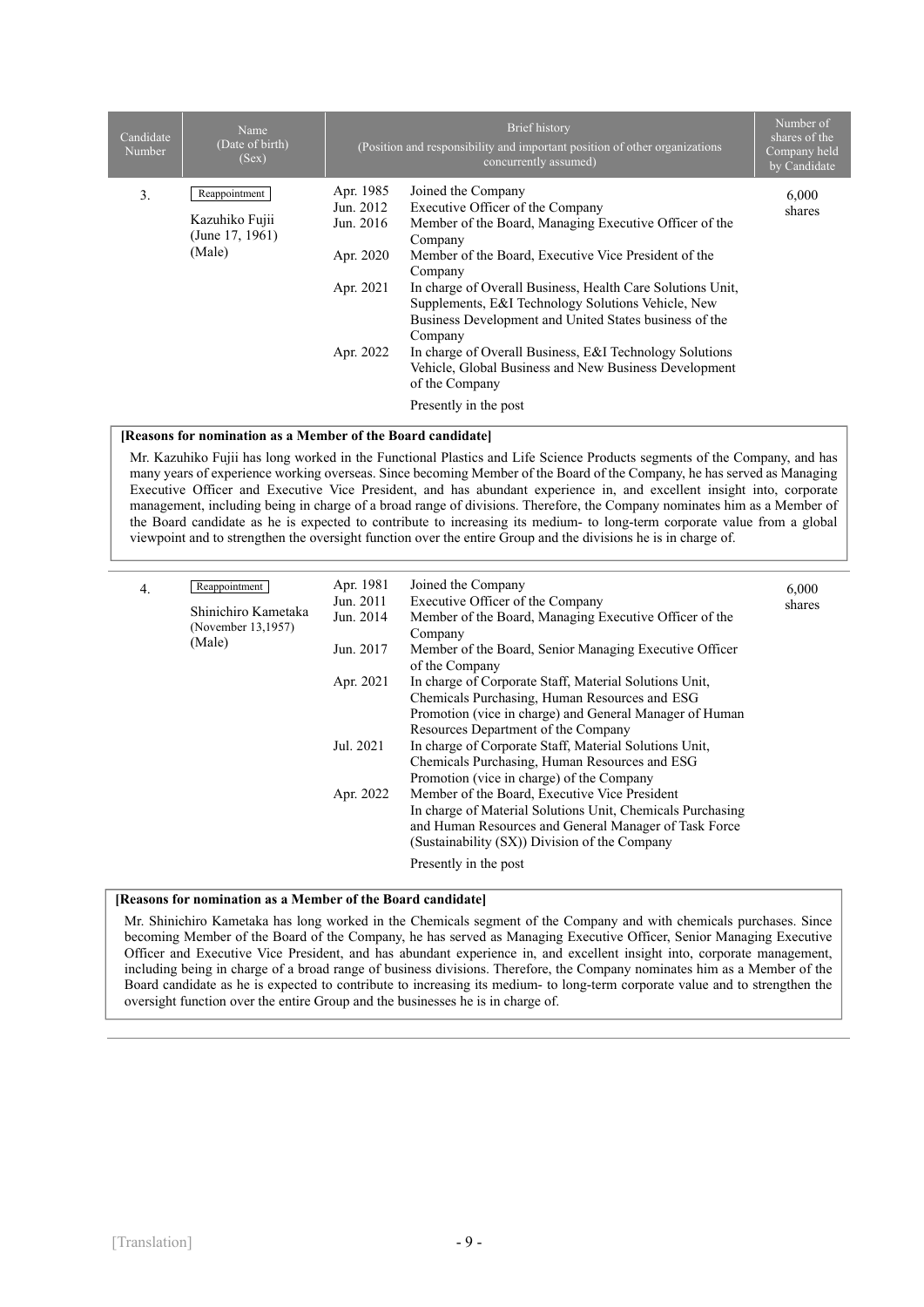| Candidate<br><b>Number</b> | Name<br>(Date of birth)<br>(Sex)                             |                                                                            | Brief history<br>(Position and responsibility and important position of other organizations<br>concurrently assumed)                                                                                                                                                                                                                                                                                                                                                                                                          | Number of<br>shares of the<br>Company held<br>by Candidate |
|----------------------------|--------------------------------------------------------------|----------------------------------------------------------------------------|-------------------------------------------------------------------------------------------------------------------------------------------------------------------------------------------------------------------------------------------------------------------------------------------------------------------------------------------------------------------------------------------------------------------------------------------------------------------------------------------------------------------------------|------------------------------------------------------------|
| 3.                         | Reappointment<br>Kazuhiko Fujii<br>(June 17, 1961)<br>(Male) | Apr. 1985<br>Jun. 2012<br>Jun. 2016<br>Apr. 2020<br>Apr. 2021<br>Apr. 2022 | Joined the Company<br>Executive Officer of the Company<br>Member of the Board, Managing Executive Officer of the<br>Company<br>Member of the Board, Executive Vice President of the<br>Company<br>In charge of Overall Business, Health Care Solutions Unit,<br>Supplements, E&I Technology Solutions Vehicle, New<br>Business Development and United States business of the<br>Company<br>In charge of Overall Business, E&I Technology Solutions<br>Vehicle, Global Business and New Business Development<br>of the Company | 6,000<br>shares                                            |
|                            |                                                              |                                                                            | Presently in the post                                                                                                                                                                                                                                                                                                                                                                                                                                                                                                         |                                                            |

#### **[Reasons for nomination as a Member of the Board candidate]**

Mr. Kazuhiko Fujii has long worked in the Functional Plastics and Life Science Products segments of the Company, and has many years of experience working overseas. Since becoming Member of the Board of the Company, he has served as Managing Executive Officer and Executive Vice President, and has abundant experience in, and excellent insight into, corporate management, including being in charge of a broad range of divisions. Therefore, the Company nominates him as a Member of the Board candidate as he is expected to contribute to increasing its medium- to long-term corporate value from a global viewpoint and to strengthen the oversight function over the entire Group and the divisions he is in charge of.

| 4. | Reappointment<br>Shinichiro Kametaka<br>(November 13,1957)<br>(Male) | Apr. 1981<br>Jun. 2011<br>Jun. 2014<br>Jun. 2017 | Joined the Company<br>Executive Officer of the Company<br>Member of the Board, Managing Executive Officer of the<br>Company<br>Member of the Board, Senior Managing Executive Officer<br>of the Company                                                             | 6,000<br>shares |
|----|----------------------------------------------------------------------|--------------------------------------------------|---------------------------------------------------------------------------------------------------------------------------------------------------------------------------------------------------------------------------------------------------------------------|-----------------|
|    |                                                                      | Apr. 2021<br>Jul. 2021                           | In charge of Corporate Staff, Material Solutions Unit,<br>Chemicals Purchasing, Human Resources and ESG<br>Promotion (vice in charge) and General Manager of Human<br>Resources Department of the Company<br>In charge of Corporate Staff, Material Solutions Unit, |                 |
|    |                                                                      |                                                  | Chemicals Purchasing, Human Resources and ESG<br>Promotion (vice in charge) of the Company                                                                                                                                                                          |                 |
|    |                                                                      | Apr. 2022                                        | Member of the Board, Executive Vice President<br>In charge of Material Solutions Unit, Chemicals Purchasing<br>and Human Resources and General Manager of Task Force<br>(Sustainability (SX)) Division of the Company                                               |                 |
|    |                                                                      |                                                  | Presently in the post                                                                                                                                                                                                                                               |                 |

#### **[Reasons for nomination as a Member of the Board candidate]**

Mr. Shinichiro Kametaka has long worked in the Chemicals segment of the Company and with chemicals purchases. Since becoming Member of the Board of the Company, he has served as Managing Executive Officer, Senior Managing Executive Officer and Executive Vice President, and has abundant experience in, and excellent insight into, corporate management, including being in charge of a broad range of business divisions. Therefore, the Company nominates him as a Member of the Board candidate as he is expected to contribute to increasing its medium- to long-term corporate value and to strengthen the oversight function over the entire Group and the businesses he is in charge of.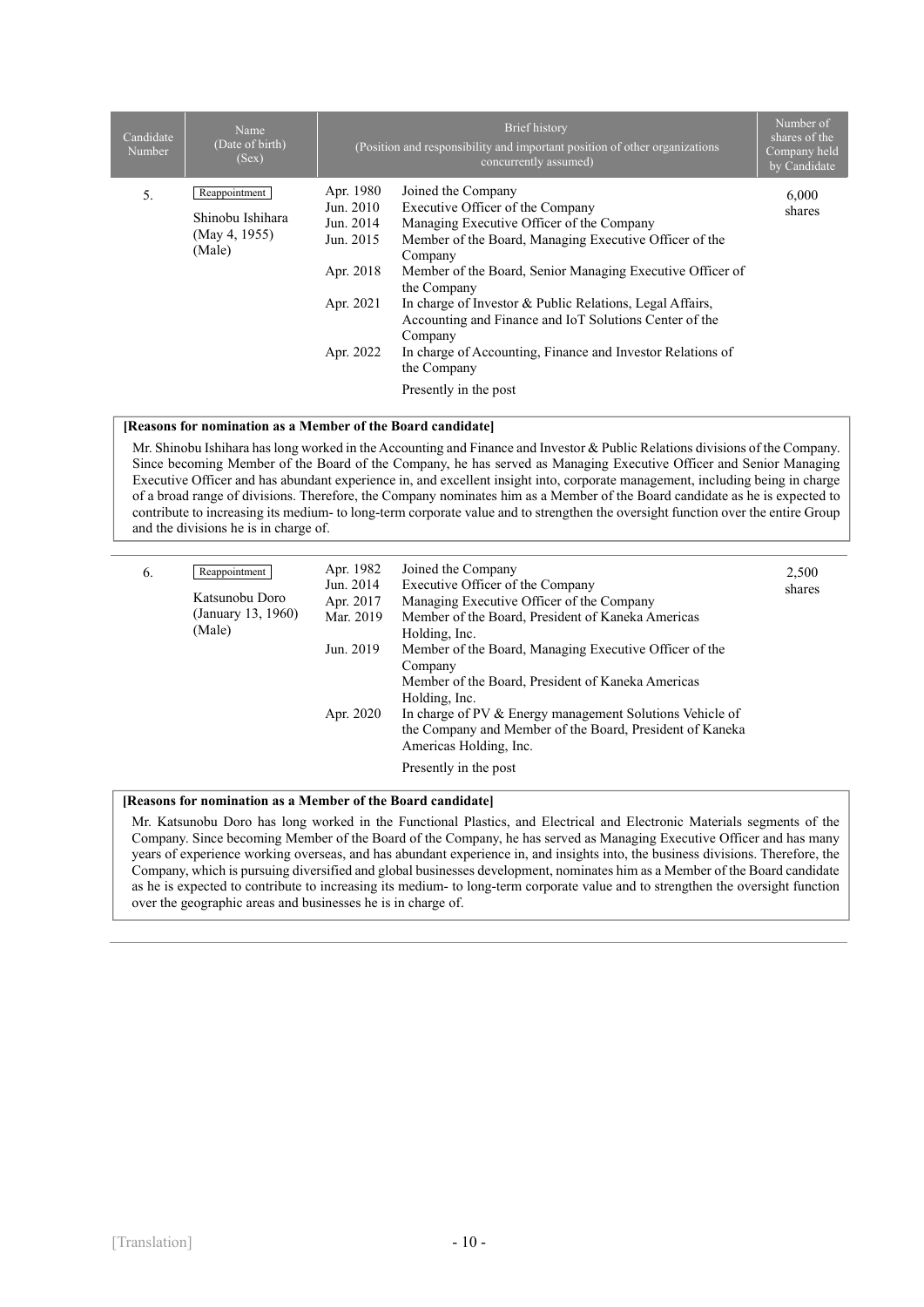| Candidate<br>Number | Name<br>(Date of birth)<br>(Sex)                             |                                                                                         | Brief history<br>(Position and responsibility and important position of other organizations<br>concurrently assumed)                                                                                                                                                                                                                                                                                                                                                                        | Number of<br>shares of the<br>Company held<br>by Candidate |
|---------------------|--------------------------------------------------------------|-----------------------------------------------------------------------------------------|---------------------------------------------------------------------------------------------------------------------------------------------------------------------------------------------------------------------------------------------------------------------------------------------------------------------------------------------------------------------------------------------------------------------------------------------------------------------------------------------|------------------------------------------------------------|
| 5.                  | Reappointment<br>Shinobu Ishihara<br>(May 4, 1955)<br>(Male) | Apr. 1980<br>Jun. 2010<br>Jun. 2014<br>Jun. 2015<br>Apr. 2018<br>Apr. 2021<br>Apr. 2022 | Joined the Company<br>Executive Officer of the Company<br>Managing Executive Officer of the Company<br>Member of the Board, Managing Executive Officer of the<br>Company<br>Member of the Board, Senior Managing Executive Officer of<br>the Company<br>In charge of Investor & Public Relations, Legal Affairs,<br>Accounting and Finance and IoT Solutions Center of the<br>Company<br>In charge of Accounting, Finance and Investor Relations of<br>the Company<br>Presently in the post | 6,000<br>shares                                            |

#### **[Reasons for nomination as a Member of the Board candidate]**

Mr. Shinobu Ishihara has long worked in the Accounting and Finance and Investor & Public Relations divisions of the Company. Since becoming Member of the Board of the Company, he has served as Managing Executive Officer and Senior Managing Executive Officer and has abundant experience in, and excellent insight into, corporate management, including being in charge of a broad range of divisions. Therefore, the Company nominates him as a Member of the Board candidate as he is expected to contribute to increasing its medium- to long-term corporate value and to strengthen the oversight function over the entire Group and the divisions he is in charge of.

| 6. | Reappointment<br>Katsunobu Doro<br>(January 13, 1960)<br>(Male) | Apr. 1982<br>Jun. 2014<br>Apr. 2017<br>Mar. 2019 | Joined the Company<br>Executive Officer of the Company<br>Managing Executive Officer of the Company<br>Member of the Board, President of Kaneka Americas<br>Holding, Inc. | 2,500<br>shares |
|----|-----------------------------------------------------------------|--------------------------------------------------|---------------------------------------------------------------------------------------------------------------------------------------------------------------------------|-----------------|
|    |                                                                 | Jun. 2019                                        | Member of the Board, Managing Executive Officer of the<br>Company<br>Member of the Board, President of Kaneka Americas<br>Holding, Inc.                                   |                 |
|    |                                                                 | Apr. 2020                                        | In charge of PV & Energy management Solutions Vehicle of<br>the Company and Member of the Board, President of Kaneka<br>Americas Holding, Inc.                            |                 |
|    |                                                                 |                                                  | Presently in the post                                                                                                                                                     |                 |

#### **[Reasons for nomination as a Member of the Board candidate]**

Mr. Katsunobu Doro has long worked in the Functional Plastics, and Electrical and Electronic Materials segments of the Company. Since becoming Member of the Board of the Company, he has served as Managing Executive Officer and has many years of experience working overseas, and has abundant experience in, and insights into, the business divisions. Therefore, the Company, which is pursuing diversified and global businesses development, nominates him as a Member of the Board candidate as he is expected to contribute to increasing its medium- to long-term corporate value and to strengthen the oversight function over the geographic areas and businesses he is in charge of.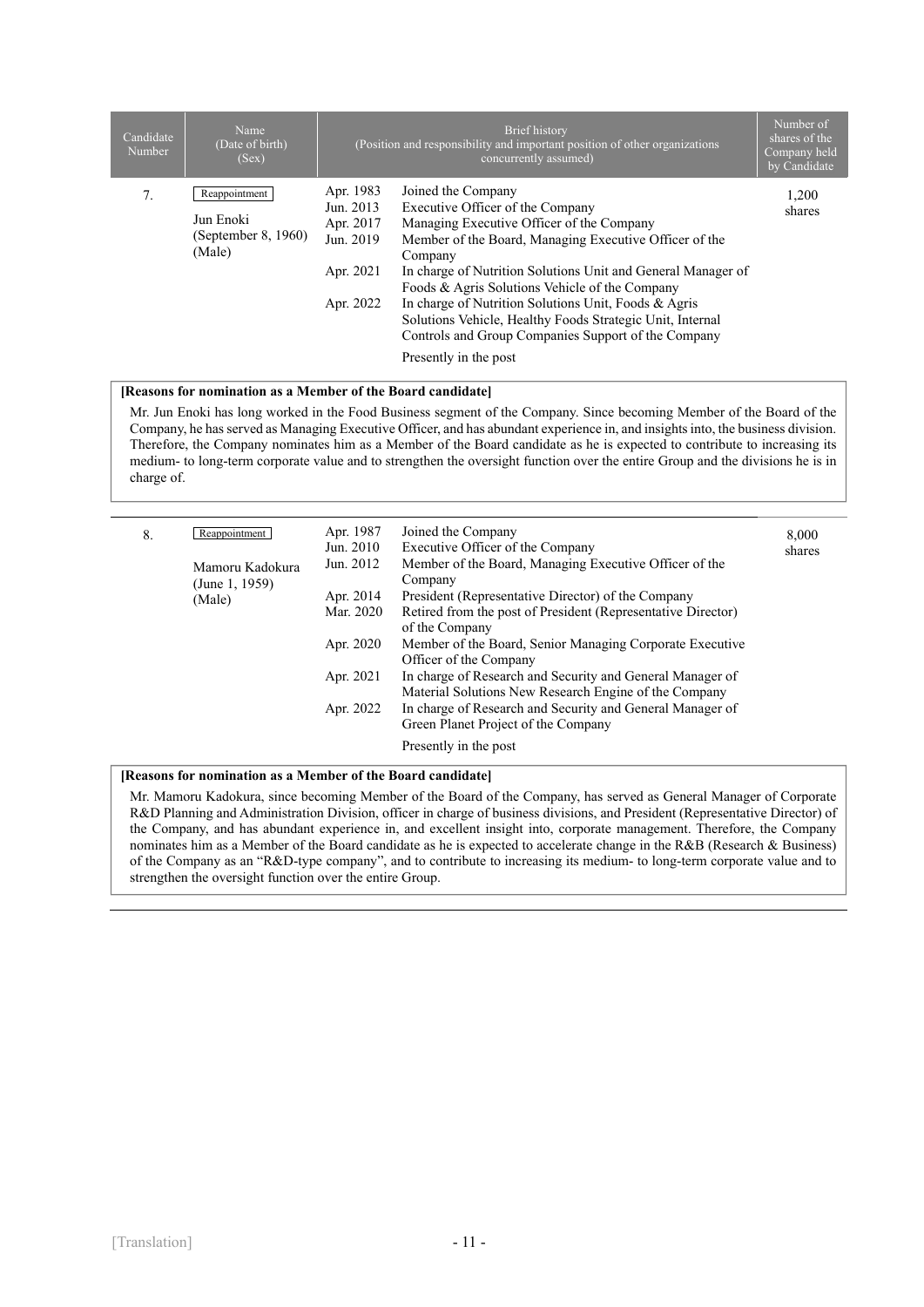| Candidate<br>Number | Name<br>(Date of birth)<br>(Sex)                            |                                                                            | Brief history<br>(Position and responsibility and important position of other organizations<br>concurrently assumed)                                                                                                                                                                                                                                                                                                                                                                            | Number of<br>shares of the<br>Company held<br>by Candidate |
|---------------------|-------------------------------------------------------------|----------------------------------------------------------------------------|-------------------------------------------------------------------------------------------------------------------------------------------------------------------------------------------------------------------------------------------------------------------------------------------------------------------------------------------------------------------------------------------------------------------------------------------------------------------------------------------------|------------------------------------------------------------|
| 7.                  | Reappointment<br>Jun Enoki<br>(September 8, 1960)<br>(Male) | Apr. 1983<br>Jun. 2013<br>Apr. 2017<br>Jun. 2019<br>Apr. 2021<br>Apr. 2022 | Joined the Company<br>Executive Officer of the Company<br>Managing Executive Officer of the Company<br>Member of the Board, Managing Executive Officer of the<br>Company<br>In charge of Nutrition Solutions Unit and General Manager of<br>Foods & Agris Solutions Vehicle of the Company<br>In charge of Nutrition Solutions Unit, Foods & Agris<br>Solutions Vehicle, Healthy Foods Strategic Unit, Internal<br>Controls and Group Companies Support of the Company<br>Presently in the post | 1,200<br>shares                                            |

#### **[Reasons for nomination as a Member of the Board candidate]**

Mr. Jun Enoki has long worked in the Food Business segment of the Company. Since becoming Member of the Board of the Company, he has served as Managing Executive Officer, and has abundant experience in, and insights into, the business division. Therefore, the Company nominates him as a Member of the Board candidate as he is expected to contribute to increasing its medium- to long-term corporate value and to strengthen the oversight function over the entire Group and the divisions he is in charge of.

| 8. | Reappointment                               | Apr. 1987<br>Jun. 2010 | Joined the Company<br>Executive Officer of the Company                                                             | 8,000<br>shares |
|----|---------------------------------------------|------------------------|--------------------------------------------------------------------------------------------------------------------|-----------------|
|    | Mamoru Kadokura<br>(June 1, 1959)<br>(Male) | Jun. 2012              | Member of the Board, Managing Executive Officer of the<br>Company                                                  |                 |
|    |                                             | Apr. 2014              | President (Representative Director) of the Company                                                                 |                 |
|    |                                             | Mar. 2020              | Retired from the post of President (Representative Director)<br>of the Company                                     |                 |
|    |                                             | Apr. 2020              | Member of the Board, Senior Managing Corporate Executive<br>Officer of the Company                                 |                 |
|    |                                             | Apr. 2021              | In charge of Research and Security and General Manager of<br>Material Solutions New Research Engine of the Company |                 |
|    |                                             | Apr. 2022              | In charge of Research and Security and General Manager of<br>Green Planet Project of the Company                   |                 |
|    |                                             |                        | Presently in the post                                                                                              |                 |

#### **[Reasons for nomination as a Member of the Board candidate]**

Mr. Mamoru Kadokura, since becoming Member of the Board of the Company, has served as General Manager of Corporate R&D Planning and Administration Division, officer in charge of business divisions, and President (Representative Director) of the Company, and has abundant experience in, and excellent insight into, corporate management. Therefore, the Company nominates him as a Member of the Board candidate as he is expected to accelerate change in the R&B (Research & Business) of the Company as an "R&D-type company", and to contribute to increasing its medium- to long-term corporate value and to strengthen the oversight function over the entire Group.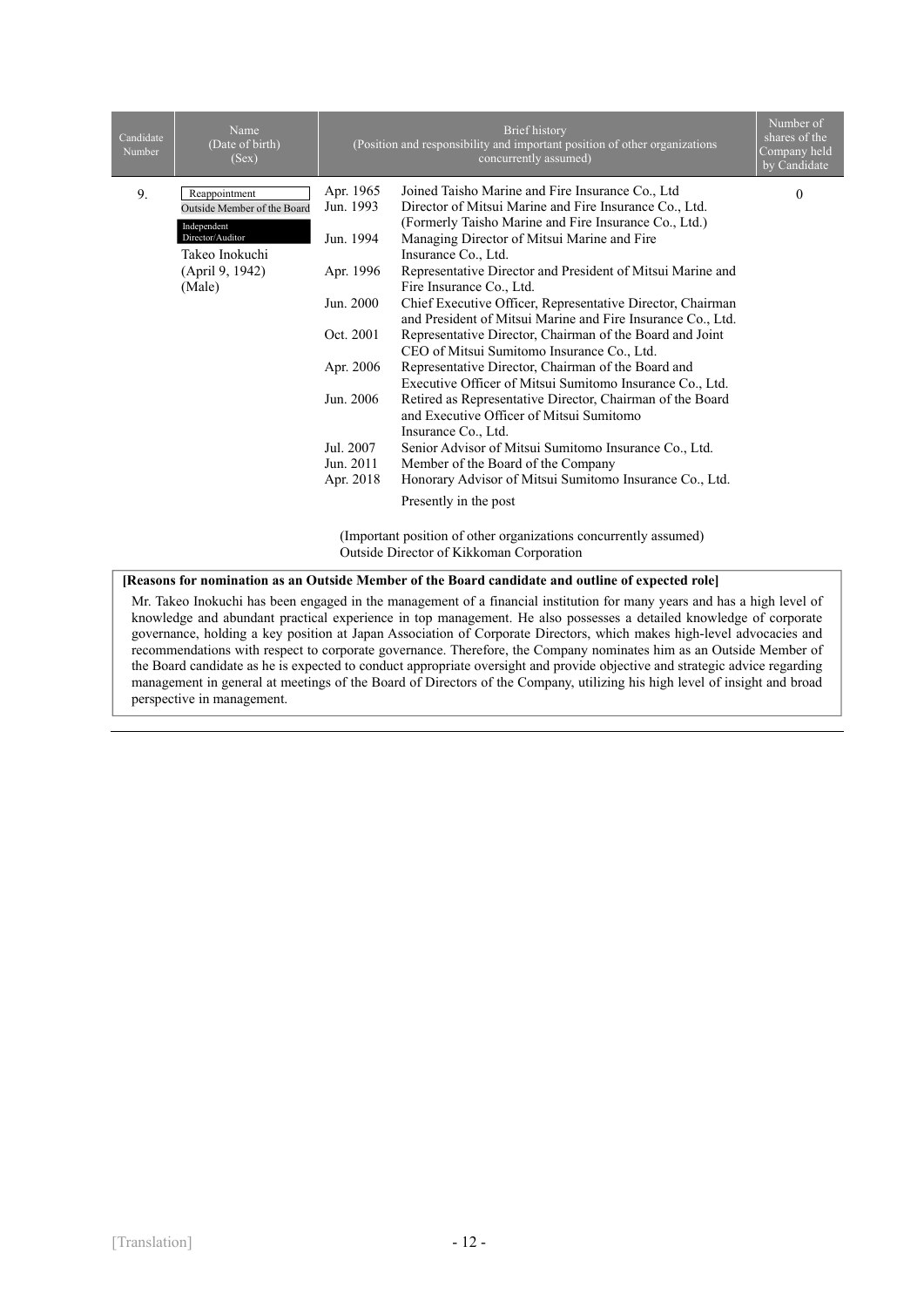| Candidate<br>Number                                                                                          | Name<br>(Date of birth)<br>(Sex) |           | Brief history<br>(Position and responsibility and important position of other organizations<br>concurrently assumed)         | Number of<br>shares of the<br>Company held<br>by Candidate |
|--------------------------------------------------------------------------------------------------------------|----------------------------------|-----------|------------------------------------------------------------------------------------------------------------------------------|------------------------------------------------------------|
| 9.                                                                                                           | Reappointment                    | Apr. 1965 | Joined Taisho Marine and Fire Insurance Co., Ltd                                                                             | $\overline{0}$                                             |
|                                                                                                              | Outside Member of the Board      | Jun. 1993 | Director of Mitsui Marine and Fire Insurance Co., Ltd.                                                                       |                                                            |
|                                                                                                              | Independent<br>Director/Auditor  | Jun. 1994 | (Formerly Taisho Marine and Fire Insurance Co., Ltd.)<br>Managing Director of Mitsui Marine and Fire                         |                                                            |
|                                                                                                              | Takeo Inokuchi                   |           | Insurance Co., Ltd.                                                                                                          |                                                            |
|                                                                                                              | (April 9, 1942)                  | Apr. 1996 | Representative Director and President of Mitsui Marine and                                                                   |                                                            |
|                                                                                                              | (Male)                           |           | Fire Insurance Co., Ltd.                                                                                                     |                                                            |
|                                                                                                              |                                  | Jun. 2000 | Chief Executive Officer, Representative Director, Chairman<br>and President of Mitsui Marine and Fire Insurance Co., Ltd.    |                                                            |
|                                                                                                              |                                  | Oct. 2001 | Representative Director, Chairman of the Board and Joint                                                                     |                                                            |
|                                                                                                              |                                  |           | CEO of Mitsui Sumitomo Insurance Co., Ltd.                                                                                   |                                                            |
|                                                                                                              |                                  | Apr. 2006 | Representative Director, Chairman of the Board and<br>Executive Officer of Mitsui Sumitomo Insurance Co., Ltd.               |                                                            |
|                                                                                                              |                                  | Jun. 2006 | Retired as Representative Director, Chairman of the Board<br>and Executive Officer of Mitsui Sumitomo<br>Insurance Co., Ltd. |                                                            |
|                                                                                                              |                                  | Jul. 2007 | Senior Advisor of Mitsui Sumitomo Insurance Co., Ltd.                                                                        |                                                            |
|                                                                                                              |                                  | Jun. 2011 | Member of the Board of the Company                                                                                           |                                                            |
|                                                                                                              |                                  | Apr. 2018 | Honorary Advisor of Mitsui Sumitomo Insurance Co., Ltd.                                                                      |                                                            |
|                                                                                                              |                                  |           | Presently in the post                                                                                                        |                                                            |
| (Important position of other organizations concurrently assumed)<br>Outside Director of Kikkoman Corporation |                                  |           |                                                                                                                              |                                                            |

#### **[Reasons for nomination as an Outside Member of the Board candidate and outline of expected role]**

Mr. Takeo Inokuchi has been engaged in the management of a financial institution for many years and has a high level of knowledge and abundant practical experience in top management. He also possesses a detailed knowledge of corporate governance, holding a key position at Japan Association of Corporate Directors, which makes high-level advocacies and recommendations with respect to corporate governance. Therefore, the Company nominates him as an Outside Member of the Board candidate as he is expected to conduct appropriate oversight and provide objective and strategic advice regarding management in general at meetings of the Board of Directors of the Company, utilizing his high level of insight and broad perspective in management.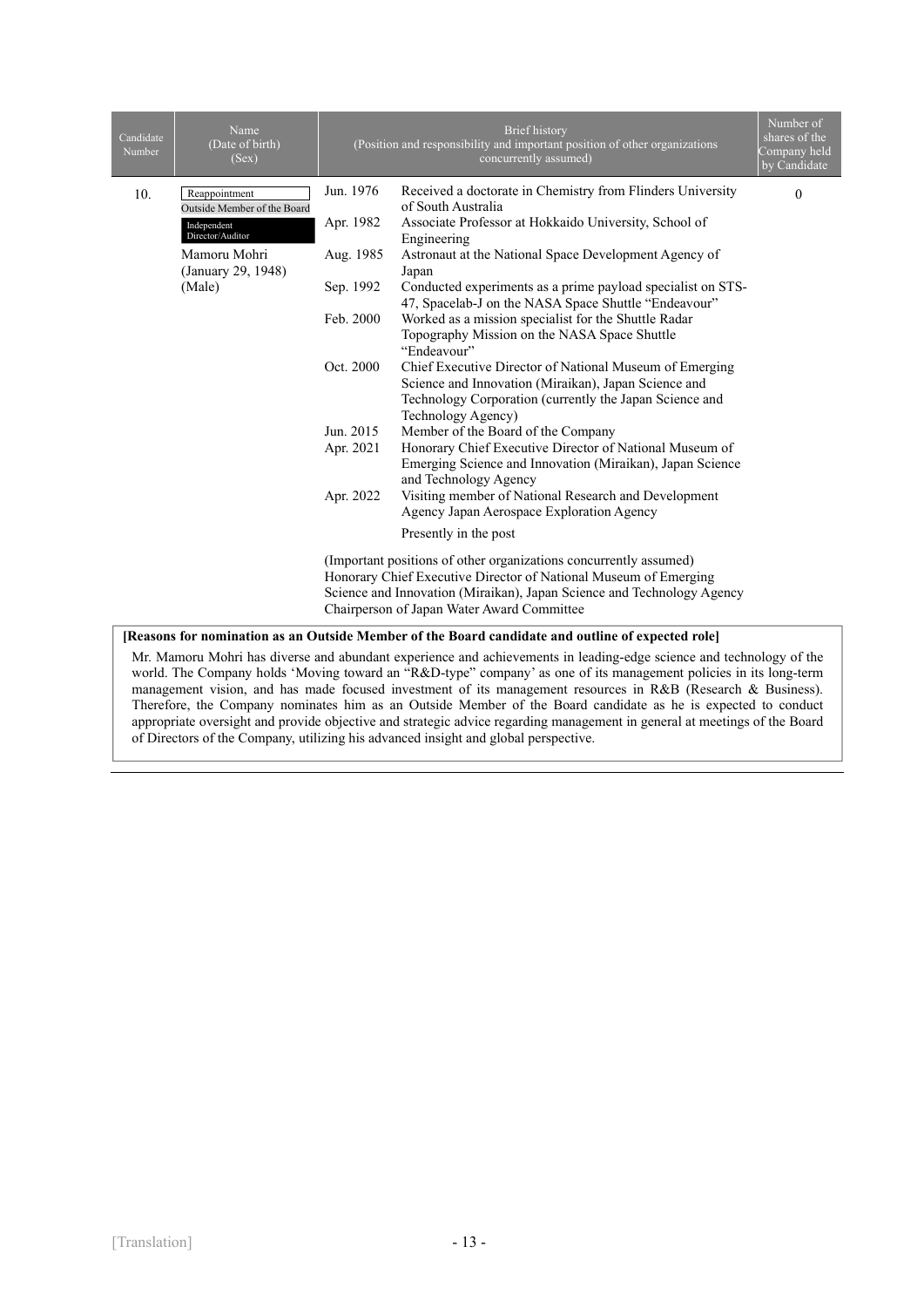| Candidate<br>Number | Name<br>(Date of birth)<br>(Sex)   |                                                                   | <b>Brief</b> history<br>(Position and responsibility and important position of other organizations<br>concurrently assumed) | Number of<br>shares of the<br>Company held<br>by Candidate |  |
|---------------------|------------------------------------|-------------------------------------------------------------------|-----------------------------------------------------------------------------------------------------------------------------|------------------------------------------------------------|--|
| 10.                 | Reappointment                      | Jun. 1976                                                         | Received a doctorate in Chemistry from Flinders University                                                                  | $\mathbf{0}$                                               |  |
|                     | Outside Member of the Board        |                                                                   | of South Australia                                                                                                          |                                                            |  |
|                     | Independent<br>Director/Auditor    | Apr. 1982                                                         | Associate Professor at Hokkaido University, School of<br>Engineering                                                        |                                                            |  |
|                     | Mamoru Mohri<br>(January 29, 1948) | Aug. 1985                                                         | Astronaut at the National Space Development Agency of<br>Japan                                                              |                                                            |  |
|                     | (Male)                             | Sep. 1992                                                         | Conducted experiments as a prime payload specialist on STS-<br>47, Spacelab-J on the NASA Space Shuttle "Endeavour"         |                                                            |  |
|                     |                                    | Feb. 2000                                                         | Worked as a mission specialist for the Shuttle Radar                                                                        |                                                            |  |
|                     |                                    |                                                                   | Topography Mission on the NASA Space Shuttle                                                                                |                                                            |  |
|                     |                                    |                                                                   | "Endeavour"                                                                                                                 |                                                            |  |
|                     |                                    | Oct. 2000                                                         | Chief Executive Director of National Museum of Emerging                                                                     |                                                            |  |
|                     |                                    |                                                                   | Science and Innovation (Miraikan), Japan Science and                                                                        |                                                            |  |
|                     |                                    |                                                                   | Technology Corporation (currently the Japan Science and                                                                     |                                                            |  |
|                     |                                    |                                                                   | Technology Agency)                                                                                                          |                                                            |  |
|                     |                                    | Jun. 2015                                                         | Member of the Board of the Company                                                                                          |                                                            |  |
|                     |                                    | Apr. 2021                                                         | Honorary Chief Executive Director of National Museum of<br>Emerging Science and Innovation (Miraikan), Japan Science        |                                                            |  |
|                     |                                    |                                                                   | and Technology Agency                                                                                                       |                                                            |  |
|                     |                                    | Apr. 2022                                                         | Visiting member of National Research and Development                                                                        |                                                            |  |
|                     |                                    |                                                                   | Agency Japan Aerospace Exploration Agency                                                                                   |                                                            |  |
|                     |                                    |                                                                   | Presently in the post                                                                                                       |                                                            |  |
|                     |                                    | (Important positions of other organizations concurrently assumed) |                                                                                                                             |                                                            |  |
|                     |                                    | Honorary Chief Executive Director of National Museum of Emerging  |                                                                                                                             |                                                            |  |
|                     |                                    |                                                                   | Science and Innovation (Miraikan), Japan Science and Technology Agency                                                      |                                                            |  |
|                     |                                    |                                                                   | Chairperson of Japan Water Award Committee                                                                                  |                                                            |  |
|                     |                                    |                                                                   |                                                                                                                             |                                                            |  |

**[Reasons for nomination as an Outside Member of the Board candidate and outline of expected role]** 

Mr. Mamoru Mohri has diverse and abundant experience and achievements in leading-edge science and technology of the world. The Company holds 'Moving toward an "R&D-type" company' as one of its management policies in its long-term management vision, and has made focused investment of its management resources in R&B (Research & Business). Therefore, the Company nominates him as an Outside Member of the Board candidate as he is expected to conduct appropriate oversight and provide objective and strategic advice regarding management in general at meetings of the Board of Directors of the Company, utilizing his advanced insight and global perspective.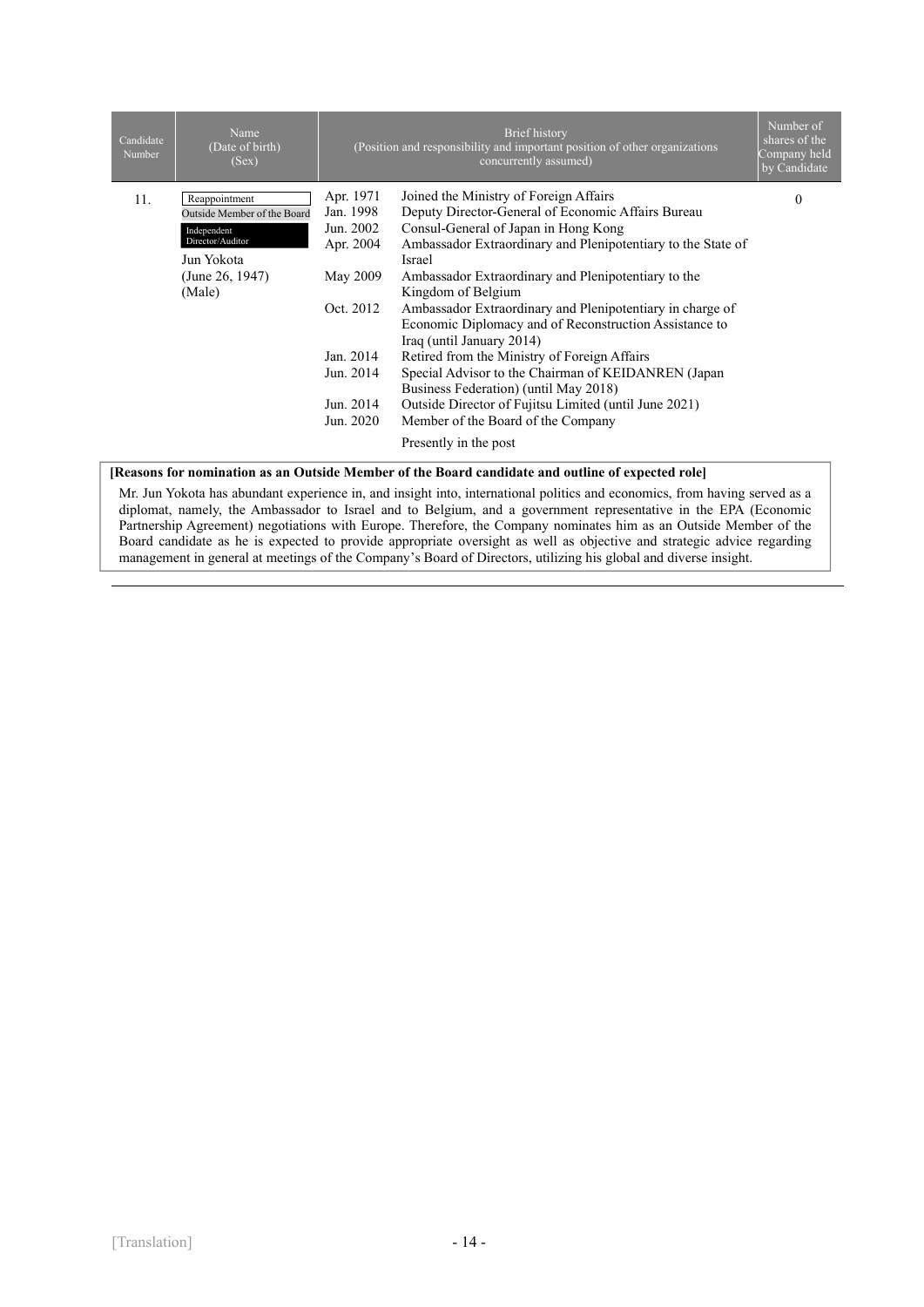| Candidate<br>Number | Name<br>(Date of birth)<br>(Sex) |           | <b>Brief</b> history<br>(Position and responsibility and important position of other organizations<br>concurrently assumed) | Number of<br>shares of the<br>Company held<br>by Candidate |
|---------------------|----------------------------------|-----------|-----------------------------------------------------------------------------------------------------------------------------|------------------------------------------------------------|
| 11.                 | Reappointment                    | Apr. 1971 | Joined the Ministry of Foreign Affairs                                                                                      | $\Omega$                                                   |
|                     | Outside Member of the Board      | Jan. 1998 | Deputy Director-General of Economic Affairs Bureau                                                                          |                                                            |
|                     | Independent                      | Jun. 2002 | Consul-General of Japan in Hong Kong                                                                                        |                                                            |
|                     | Director/Auditor                 | Apr. 2004 | Ambassador Extraordinary and Plenipotentiary to the State of                                                                |                                                            |
|                     | Jun Yokota                       |           | Israel                                                                                                                      |                                                            |
|                     | (June 26, 1947)                  | May 2009  | Ambassador Extraordinary and Plenipotentiary to the                                                                         |                                                            |
|                     | (Male)                           |           | Kingdom of Belgium                                                                                                          |                                                            |
|                     |                                  | Oct. 2012 | Ambassador Extraordinary and Plenipotentiary in charge of                                                                   |                                                            |
|                     |                                  |           | Economic Diplomacy and of Reconstruction Assistance to                                                                      |                                                            |
|                     |                                  |           | Iraq (until January 2014)                                                                                                   |                                                            |
|                     |                                  | Jan. 2014 | Retired from the Ministry of Foreign Affairs                                                                                |                                                            |
|                     |                                  | Jun. 2014 | Special Advisor to the Chairman of KEIDANREN (Japan                                                                         |                                                            |
|                     |                                  |           | Business Federation) (until May 2018)                                                                                       |                                                            |
|                     |                                  | Jun. 2014 | Outside Director of Fujitsu Limited (until June 2021)                                                                       |                                                            |
|                     |                                  | Jun. 2020 | Member of the Board of the Company                                                                                          |                                                            |
|                     |                                  |           | Presently in the post                                                                                                       |                                                            |

#### **[Reasons for nomination as an Outside Member of the Board candidate and outline of expected role]**

Mr. Jun Yokota has abundant experience in, and insight into, international politics and economics, from having served as a diplomat, namely, the Ambassador to Israel and to Belgium, and a government representative in the EPA (Economic Partnership Agreement) negotiations with Europe. Therefore, the Company nominates him as an Outside Member of the Board candidate as he is expected to provide appropriate oversight as well as objective and strategic advice regarding management in general at meetings of the Company's Board of Directors, utilizing his global and diverse insight.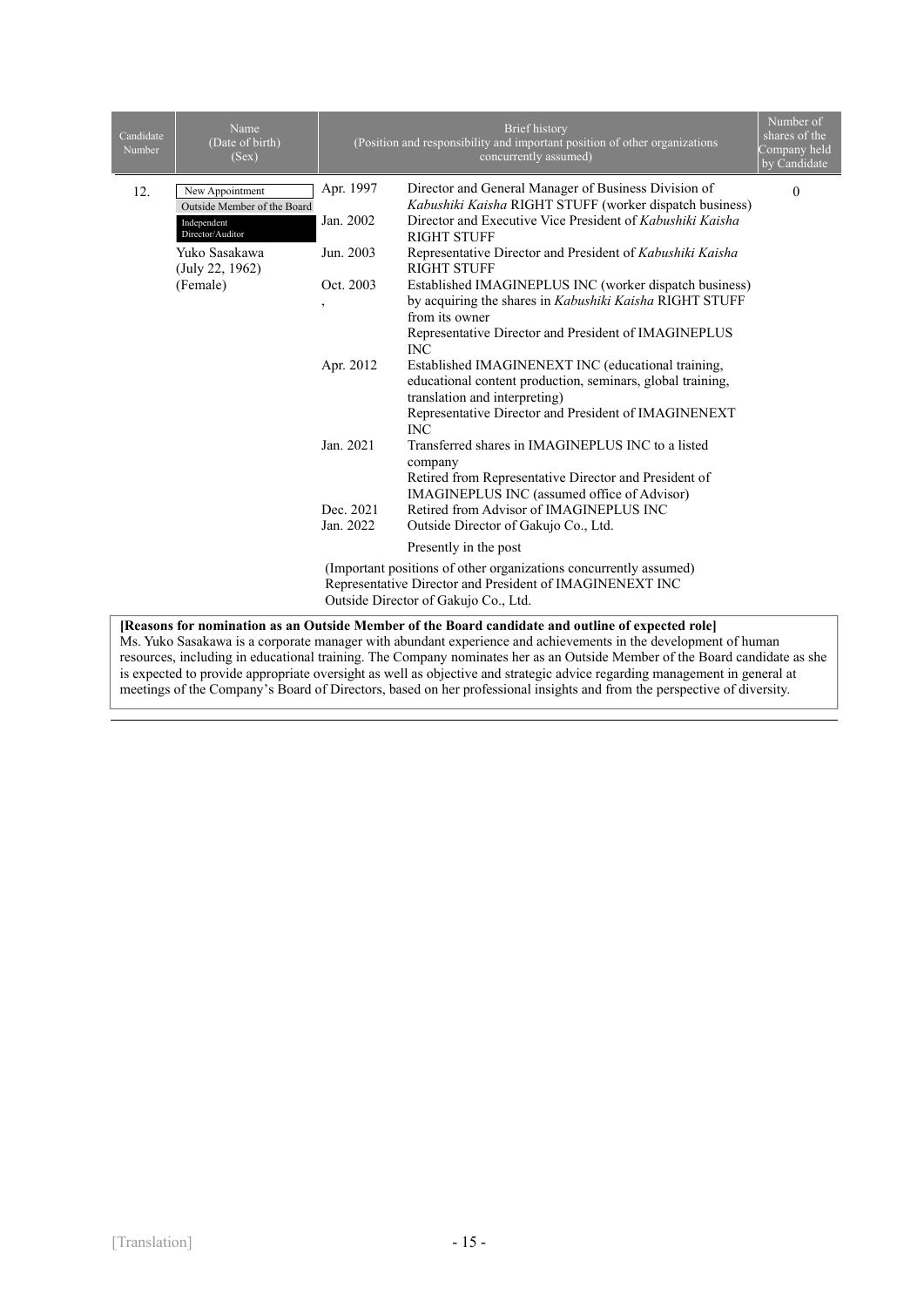| Candidate<br>Number                                                                                                                                                                                                 | Name<br>(Date of birth)<br>(Sex)                                                  |                                                                                                                                                                       | <b>Brief</b> history<br>(Position and responsibility and important position of other organizations<br>concurrently assumed)                                                                                                           | Number of<br>shares of the<br>Company held<br>by Candidate |  |  |
|---------------------------------------------------------------------------------------------------------------------------------------------------------------------------------------------------------------------|-----------------------------------------------------------------------------------|-----------------------------------------------------------------------------------------------------------------------------------------------------------------------|---------------------------------------------------------------------------------------------------------------------------------------------------------------------------------------------------------------------------------------|------------------------------------------------------------|--|--|
| 12.                                                                                                                                                                                                                 | New Appointment<br>Outside Member of the Board<br>Independent<br>Director/Auditor | Apr. 1997<br>Jan. 2002                                                                                                                                                | Director and General Manager of Business Division of<br>Kabushiki Kaisha RIGHT STUFF (worker dispatch business)<br>Director and Executive Vice President of Kabushiki Kaisha                                                          | $\Omega$                                                   |  |  |
|                                                                                                                                                                                                                     | Yuko Sasakawa<br>(July 22, 1962)                                                  | Jun. 2003                                                                                                                                                             | <b>RIGHT STUFF</b><br>Representative Director and President of Kabushiki Kaisha<br><b>RIGHT STUFF</b>                                                                                                                                 |                                                            |  |  |
|                                                                                                                                                                                                                     | (Female)                                                                          | Oct. 2003<br>,                                                                                                                                                        | Established IMAGINEPLUS INC (worker dispatch business)<br>by acquiring the shares in <i>Kabushiki Kaisha</i> RIGHT STUFF<br>from its owner<br>Representative Director and President of IMAGINEPLUS                                    |                                                            |  |  |
|                                                                                                                                                                                                                     |                                                                                   | Apr. 2012                                                                                                                                                             | <b>INC</b><br>Established IMAGINENEXT INC (educational training,<br>educational content production, seminars, global training,<br>translation and interpreting)<br>Representative Director and President of IMAGINENEXT<br><b>INC</b> |                                                            |  |  |
|                                                                                                                                                                                                                     |                                                                                   | Jan. 2021                                                                                                                                                             | Transferred shares in IMAGINEPLUS INC to a listed<br>company<br>Retired from Representative Director and President of<br>IMAGINEPLUS INC (assumed office of Advisor)                                                                  |                                                            |  |  |
|                                                                                                                                                                                                                     |                                                                                   | Dec. 2021<br>Jan. 2022                                                                                                                                                | Retired from Advisor of IMAGINEPLUS INC<br>Outside Director of Gakujo Co., Ltd.                                                                                                                                                       |                                                            |  |  |
|                                                                                                                                                                                                                     |                                                                                   |                                                                                                                                                                       | Presently in the post                                                                                                                                                                                                                 |                                                            |  |  |
|                                                                                                                                                                                                                     |                                                                                   | (Important positions of other organizations concurrently assumed)<br>Representative Director and President of IMAGINENEXT INC<br>Outside Director of Gakujo Co., Ltd. |                                                                                                                                                                                                                                       |                                                            |  |  |
| [Reasons for nomination as an Outside Member of the Board candidate and outline of expected role]<br>Ms. Yuko Sasakawa is a corporate manager with abundant experience and achievements in the development of human |                                                                                   |                                                                                                                                                                       |                                                                                                                                                                                                                                       |                                                            |  |  |

resources, including in educational training. The Company nominates her as an Outside Member of the Board candidate as she is expected to provide appropriate oversight as well as objective and strategic advice regarding management in general at meetings of the Company's Board of Directors, based on her professional insights and from the perspective of diversity.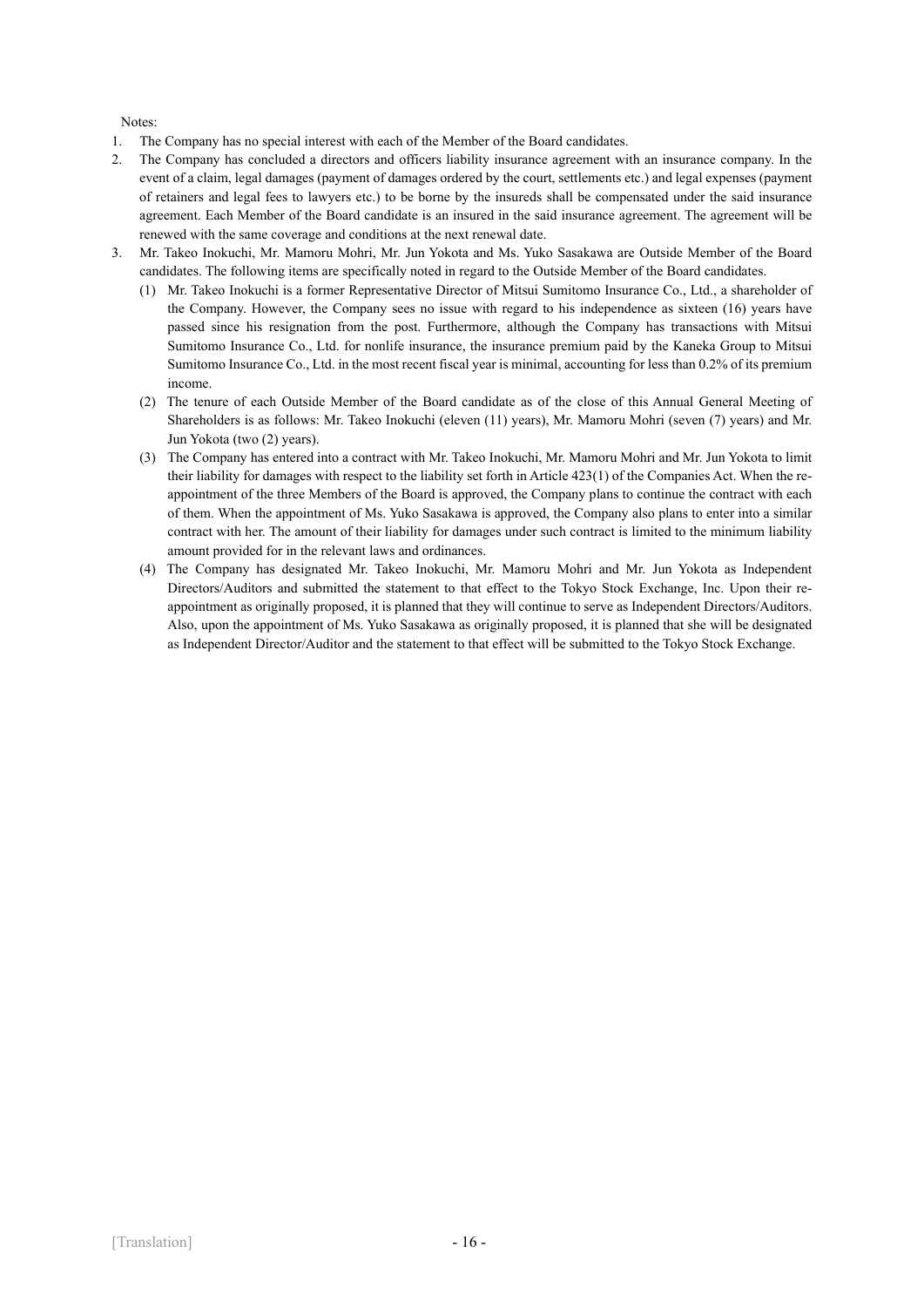Notes:

- 1. The Company has no special interest with each of the Member of the Board candidates.
- 2. The Company has concluded a directors and officers liability insurance agreement with an insurance company. In the event of a claim, legal damages (payment of damages ordered by the court, settlements etc.) and legal expenses (payment of retainers and legal fees to lawyers etc.) to be borne by the insureds shall be compensated under the said insurance agreement. Each Member of the Board candidate is an insured in the said insurance agreement. The agreement will be renewed with the same coverage and conditions at the next renewal date.
- 3. Mr. Takeo Inokuchi, Mr. Mamoru Mohri, Mr. Jun Yokota and Ms. Yuko Sasakawa are Outside Member of the Board candidates. The following items are specifically noted in regard to the Outside Member of the Board candidates.
	- (1) Mr. Takeo Inokuchi is a former Representative Director of Mitsui Sumitomo Insurance Co., Ltd., a shareholder of the Company. However, the Company sees no issue with regard to his independence as sixteen (16) years have passed since his resignation from the post. Furthermore, although the Company has transactions with Mitsui Sumitomo Insurance Co., Ltd. for nonlife insurance, the insurance premium paid by the Kaneka Group to Mitsui Sumitomo Insurance Co., Ltd. in the most recent fiscal year is minimal, accounting for less than 0.2% of its premium income.
	- (2) The tenure of each Outside Member of the Board candidate as of the close of this Annual General Meeting of Shareholders is as follows: Mr. Takeo Inokuchi (eleven (11) years), Mr. Mamoru Mohri (seven (7) years) and Mr. Jun Yokota (two (2) years).
	- (3) The Company has entered into a contract with Mr. Takeo Inokuchi, Mr. Mamoru Mohri and Mr. Jun Yokota to limit their liability for damages with respect to the liability set forth in Article 423(1) of the Companies Act. When the reappointment of the three Members of the Board is approved, the Company plans to continue the contract with each of them. When the appointment of Ms. Yuko Sasakawa is approved, the Company also plans to enter into a similar contract with her. The amount of their liability for damages under such contract is limited to the minimum liability amount provided for in the relevant laws and ordinances.
	- (4) The Company has designated Mr. Takeo Inokuchi, Mr. Mamoru Mohri and Mr. Jun Yokota as Independent Directors/Auditors and submitted the statement to that effect to the Tokyo Stock Exchange, Inc. Upon their reappointment as originally proposed, it is planned that they will continue to serve as Independent Directors/Auditors. Also, upon the appointment of Ms. Yuko Sasakawa as originally proposed, it is planned that she will be designated as Independent Director/Auditor and the statement to that effect will be submitted to the Tokyo Stock Exchange.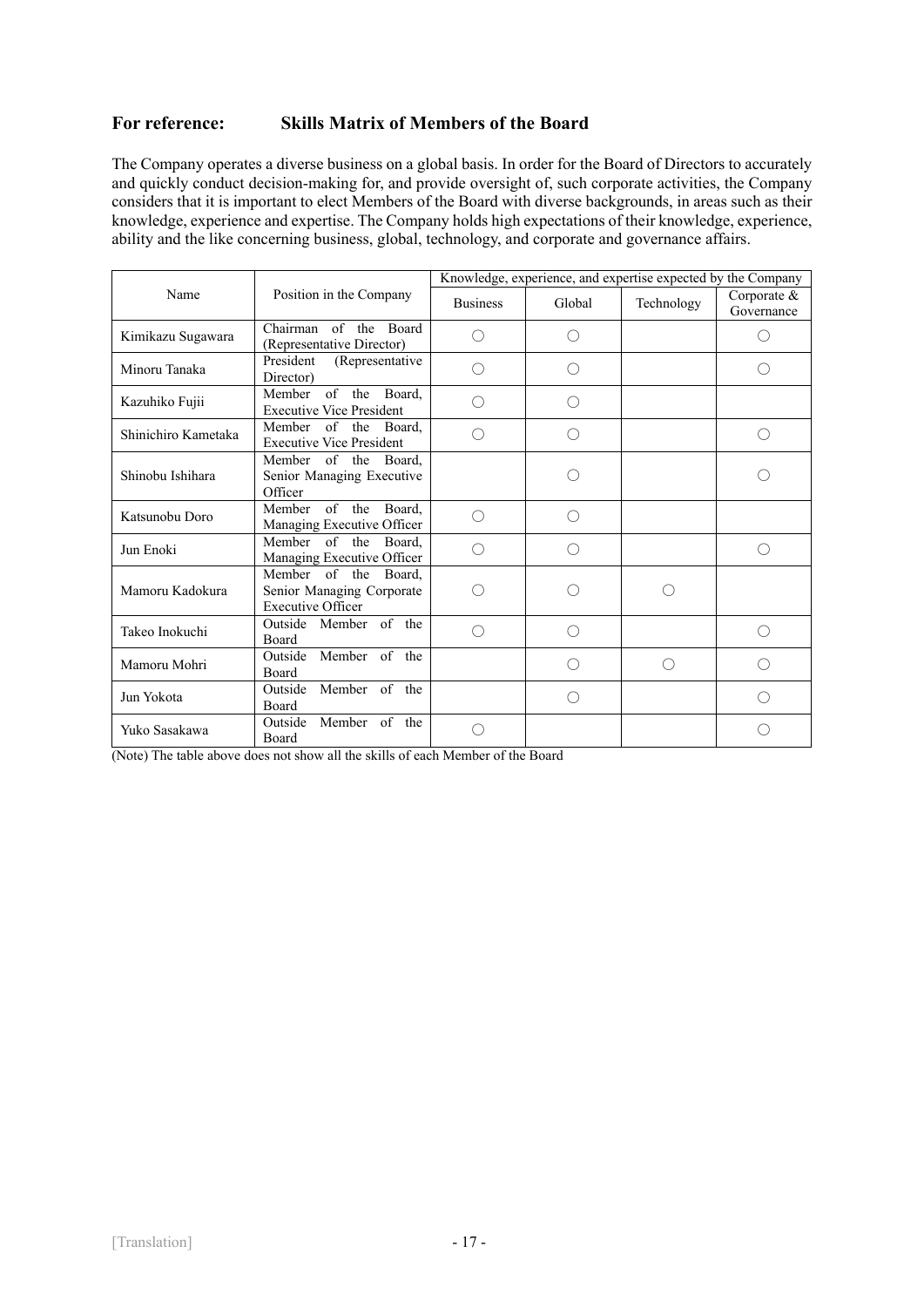# **For reference: Skills Matrix of Members of the Board**

The Company operates a diverse business on a global basis. In order for the Board of Directors to accurately and quickly conduct decision-making for, and provide oversight of, such corporate activities, the Company considers that it is important to elect Members of the Board with diverse backgrounds, in areas such as their knowledge, experience and expertise. The Company holds high expectations of their knowledge, experience, ability and the like concerning business, global, technology, and corporate and governance affairs.

|                     |                                                                               | Knowledge, experience, and expertise expected by the Company |        |            |                           |
|---------------------|-------------------------------------------------------------------------------|--------------------------------------------------------------|--------|------------|---------------------------|
| Name                | Position in the Company                                                       | <b>Business</b>                                              | Global | Technology | Corporate &<br>Governance |
| Kimikazu Sugawara   | Chairman of the Board<br>(Representative Director)                            | ∩                                                            |        |            | ∩                         |
| Minoru Tanaka       | President<br>(Representative<br>Director)                                     | ()                                                           |        |            |                           |
| Kazuhiko Fujii      | of the Board,<br>Member<br><b>Executive Vice President</b>                    | ∩                                                            | ()     |            |                           |
| Shinichiro Kametaka | Member of the Board.<br><b>Executive Vice President</b>                       |                                                              |        |            | ∩)                        |
| Shinobu Ishihara    | Member of the Board,<br>Senior Managing Executive<br>Officer                  |                                                              |        |            |                           |
| Katsunobu Doro      | of the<br>Member<br>Board.<br>Managing Executive Officer                      | ∩                                                            | ()     |            |                           |
| Jun Enoki           | Member of the<br>Board.<br>Managing Executive Officer                         | ∩                                                            |        |            | ∩                         |
| Mamoru Kadokura     | Member of the Board,<br>Senior Managing Corporate<br><b>Executive Officer</b> | ( )                                                          |        | ( )        |                           |
| Takeo Inokuchi      | Outside Member of the<br>Board                                                | ∩                                                            |        |            | ∩                         |
| Mamoru Mohri        | Outside Member of the<br><b>Board</b>                                         |                                                              |        | ∩          | €                         |
| Jun Yokota          | Member of the<br>Outside<br><b>Board</b>                                      |                                                              |        |            |                           |
| Yuko Sasakawa       | Member of the<br>Outside<br>Board                                             |                                                              |        |            |                           |

(Note) The table above does not show all the skills of each Member of the Board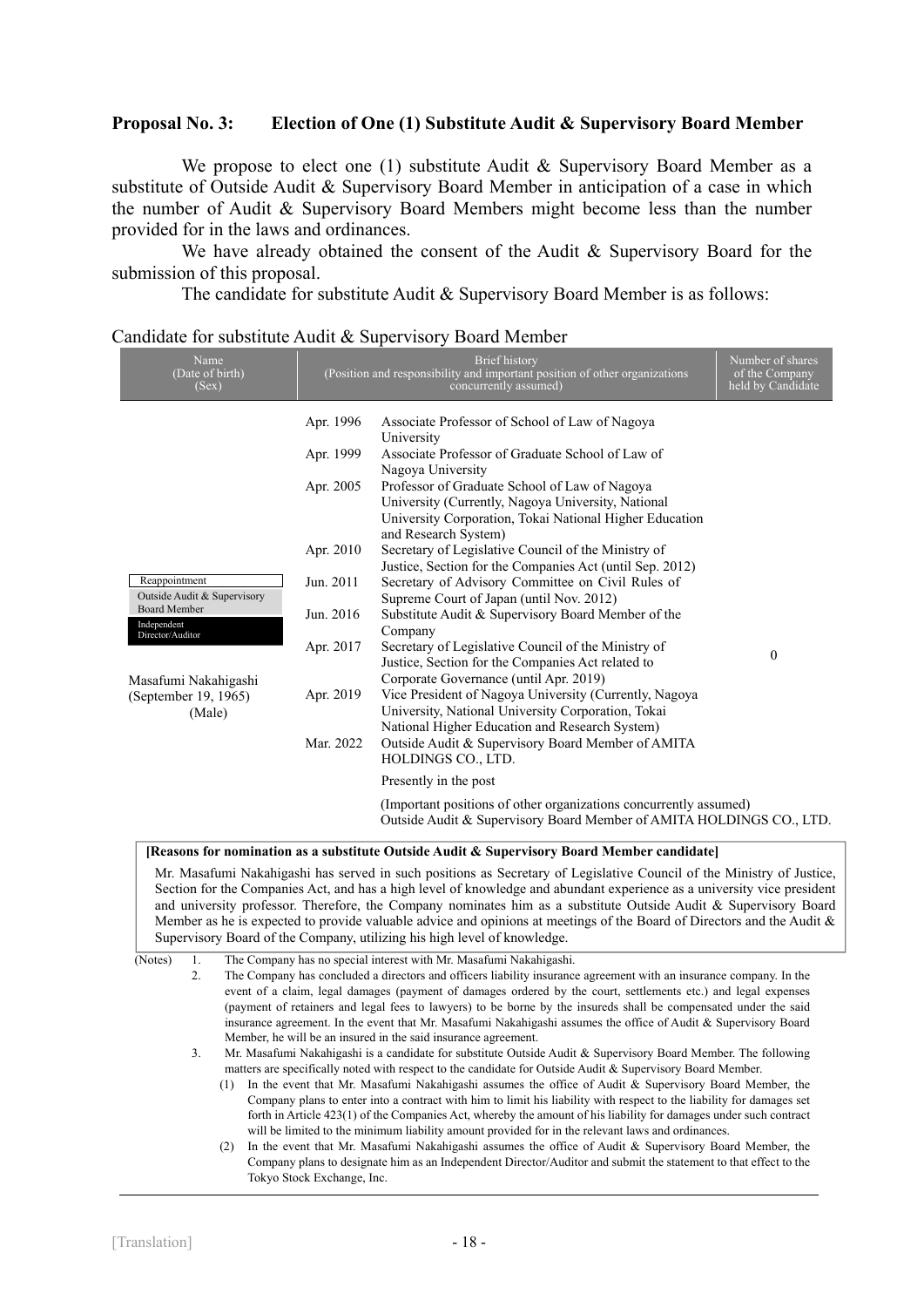## **Proposal No. 3: Election of One (1) Substitute Audit & Supervisory Board Member**

We propose to elect one (1) substitute Audit & Supervisory Board Member as a substitute of Outside Audit & Supervisory Board Member in anticipation of a case in which the number of Audit & Supervisory Board Members might become less than the number provided for in the laws and ordinances.

We have already obtained the consent of the Audit & Supervisory Board for the submission of this proposal.

The candidate for substitute Audit & Supervisory Board Member is as follows:

## Candidate for substitute Audit & Supervisory Board Member

| Name<br>(Date of birth)<br>(Sex)                       | <b>Brief</b> history<br>(Position and responsibility and important position of other organizations<br>concurrently assumed) |                                                                                                                                                                                        | Number of shares<br>of the Company<br>held by Candidate |
|--------------------------------------------------------|-----------------------------------------------------------------------------------------------------------------------------|----------------------------------------------------------------------------------------------------------------------------------------------------------------------------------------|---------------------------------------------------------|
|                                                        | Apr. 1996                                                                                                                   | Associate Professor of School of Law of Nagoya<br>University                                                                                                                           |                                                         |
|                                                        | Apr. 1999                                                                                                                   | Associate Professor of Graduate School of Law of<br>Nagoya University                                                                                                                  |                                                         |
|                                                        | Apr. 2005                                                                                                                   | Professor of Graduate School of Law of Nagoya<br>University (Currently, Nagoya University, National<br>University Corporation, Tokai National Higher Education<br>and Research System) |                                                         |
|                                                        | Apr. 2010                                                                                                                   | Secretary of Legislative Council of the Ministry of<br>Justice, Section for the Companies Act (until Sep. 2012)                                                                        |                                                         |
| Reappointment<br>Outside Audit & Supervisory           | Jun. 2011                                                                                                                   | Secretary of Advisory Committee on Civil Rules of<br>Supreme Court of Japan (until Nov. 2012)                                                                                          |                                                         |
| <b>Board Member</b><br>Independent<br>Director/Auditor | Jun. 2016                                                                                                                   | Substitute Audit & Supervisory Board Member of the<br>Company                                                                                                                          |                                                         |
| Masafumi Nakahigashi                                   | Apr. 2017                                                                                                                   | Secretary of Legislative Council of the Ministry of<br>Justice, Section for the Companies Act related to<br>Corporate Governance (until Apr. 2019)                                     | $\mathbf{0}$                                            |
| (September 19, 1965)<br>(Male)                         | Apr. 2019                                                                                                                   | Vice President of Nagoya University (Currently, Nagoya<br>University, National University Corporation, Tokai<br>National Higher Education and Research System)                         |                                                         |
|                                                        | Mar. 2022                                                                                                                   | Outside Audit & Supervisory Board Member of AMITA<br>HOLDINGS CO., LTD.                                                                                                                |                                                         |
|                                                        |                                                                                                                             | Presently in the post                                                                                                                                                                  |                                                         |
|                                                        |                                                                                                                             | (Important positions of other organizations concurrently assumed)<br>Outside Audit & Supervisory Board Member of AMITA HOLDINGS CO., LTD.                                              |                                                         |

#### **[Reasons for nomination as a substitute Outside Audit & Supervisory Board Member candidate]**

Mr. Masafumi Nakahigashi has served in such positions as Secretary of Legislative Council of the Ministry of Justice, Section for the Companies Act, and has a high level of knowledge and abundant experience as a university vice president and university professor. Therefore, the Company nominates him as a substitute Outside Audit & Supervisory Board Member as he is expected to provide valuable advice and opinions at meetings of the Board of Directors and the Audit & Supervisory Board of the Company, utilizing his high level of knowledge.

(Notes) 1. The Company has no special interest with Mr. Masafumi Nakahigashi.

2. The Company has concluded a directors and officers liability insurance agreement with an insurance company. In the event of a claim, legal damages (payment of damages ordered by the court, settlements etc.) and legal expenses (payment of retainers and legal fees to lawyers) to be borne by the insureds shall be compensated under the said insurance agreement. In the event that Mr. Masafumi Nakahigashi assumes the office of Audit & Supervisory Board Member, he will be an insured in the said insurance agreement.

3. Mr. Masafumi Nakahigashi is a candidate for substitute Outside Audit & Supervisory Board Member. The following matters are specifically noted with respect to the candidate for Outside Audit & Supervisory Board Member.

- (1) In the event that Mr. Masafumi Nakahigashi assumes the office of Audit & Supervisory Board Member, the Company plans to enter into a contract with him to limit his liability with respect to the liability for damages set forth in Article 423(1) of the Companies Act, whereby the amount of his liability for damages under such contract will be limited to the minimum liability amount provided for in the relevant laws and ordinances.
- (2) In the event that Mr. Masafumi Nakahigashi assumes the office of Audit & Supervisory Board Member, the Company plans to designate him as an Independent Director/Auditor and submit the statement to that effect to the Tokyo Stock Exchange, Inc.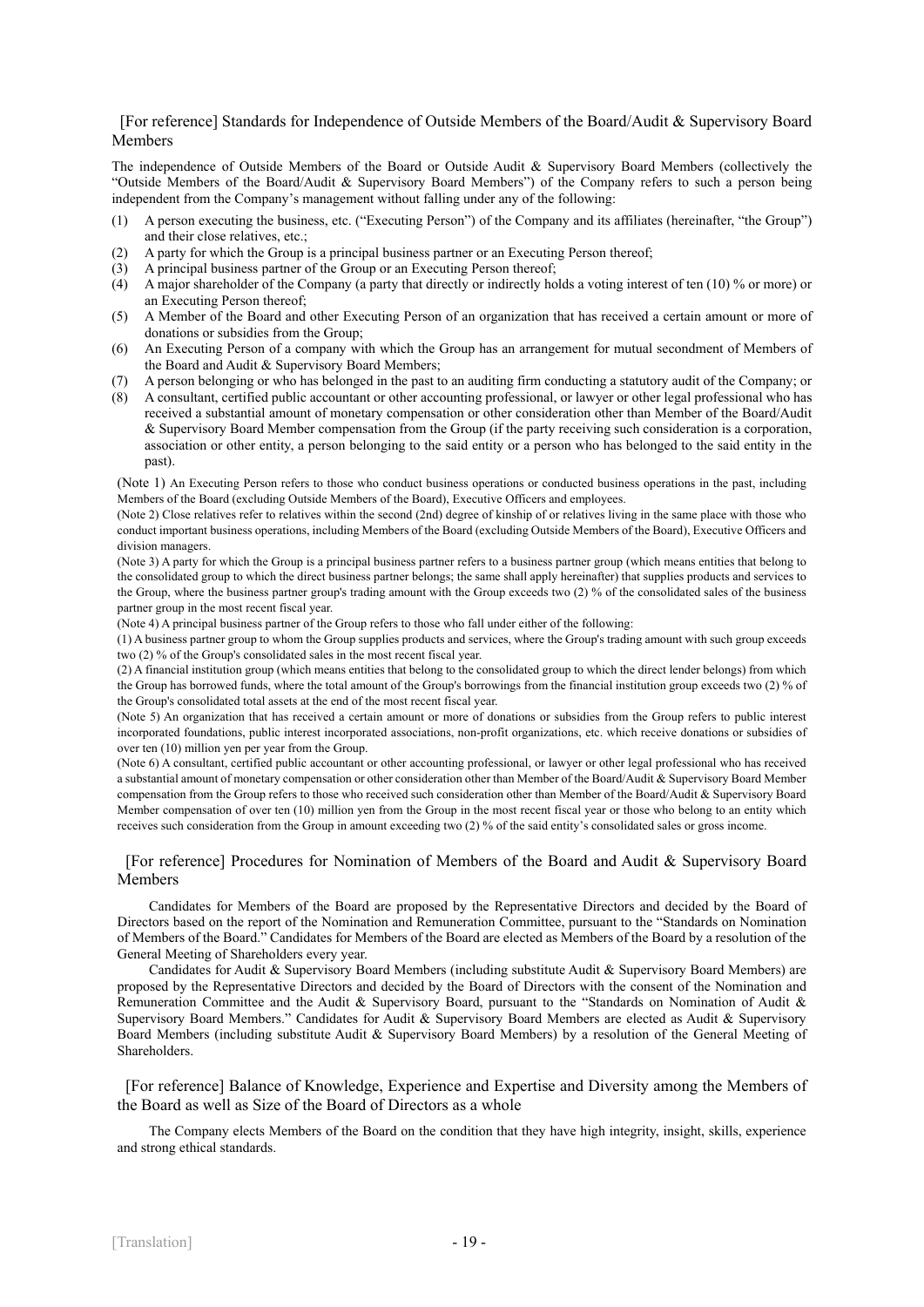#### [For reference] Standards for Independence of Outside Members of the Board/Audit & Supervisory Board Members

The independence of Outside Members of the Board or Outside Audit & Supervisory Board Members (collectively the "Outside Members of the Board/Audit & Supervisory Board Members") of the Company refers to such a person being independent from the Company's management without falling under any of the following:

- (1) A person executing the business, etc. ("Executing Person") of the Company and its affiliates (hereinafter, "the Group") and their close relatives, etc.;
- (2) A party for which the Group is a principal business partner or an Executing Person thereof;
- (3) A principal business partner of the Group or an Executing Person thereof;
- (4) A major shareholder of the Company (a party that directly or indirectly holds a voting interest of ten (10) % or more) or an Executing Person thereof;
- (5) A Member of the Board and other Executing Person of an organization that has received a certain amount or more of donations or subsidies from the Group;
- (6) An Executing Person of a company with which the Group has an arrangement for mutual secondment of Members of the Board and Audit & Supervisory Board Members;
- (7) A person belonging or who has belonged in the past to an auditing firm conducting a statutory audit of the Company; or
- (8) A consultant, certified public accountant or other accounting professional, or lawyer or other legal professional who has received a substantial amount of monetary compensation or other consideration other than Member of the Board/Audit & Supervisory Board Member compensation from the Group (if the party receiving such consideration is a corporation, association or other entity, a person belonging to the said entity or a person who has belonged to the said entity in the past).

(Note 1) An Executing Person refers to those who conduct business operations or conducted business operations in the past, including Members of the Board (excluding Outside Members of the Board), Executive Officers and employees.

(Note 2) Close relatives refer to relatives within the second (2nd) degree of kinship of or relatives living in the same place with those who conduct important business operations, including Members of the Board (excluding Outside Members of the Board), Executive Officers and division managers.

(Note 3) A party for which the Group is a principal business partner refers to a business partner group (which means entities that belong to the consolidated group to which the direct business partner belongs; the same shall apply hereinafter) that supplies products and services to the Group, where the business partner group's trading amount with the Group exceeds two (2) % of the consolidated sales of the business partner group in the most recent fiscal year.

(Note 4) A principal business partner of the Group refers to those who fall under either of the following:

(1) A business partner group to whom the Group supplies products and services, where the Group's trading amount with such group exceeds two (2) % of the Group's consolidated sales in the most recent fiscal year.

(2) A financial institution group (which means entities that belong to the consolidated group to which the direct lender belongs) from which the Group has borrowed funds, where the total amount of the Group's borrowings from the financial institution group exceeds two (2) % of the Group's consolidated total assets at the end of the most recent fiscal year.

(Note 5) An organization that has received a certain amount or more of donations or subsidies from the Group refers to public interest incorporated foundations, public interest incorporated associations, non-profit organizations, etc. which receive donations or subsidies of over ten (10) million yen per year from the Group.

(Note 6) A consultant, certified public accountant or other accounting professional, or lawyer or other legal professional who has received a substantial amount of monetary compensation or other consideration other than Member of the Board/Audit & Supervisory Board Member compensation from the Group refers to those who received such consideration other than Member of the Board/Audit & Supervisory Board Member compensation of over ten (10) million yen from the Group in the most recent fiscal year or those who belong to an entity which receives such consideration from the Group in amount exceeding two (2) % of the said entity's consolidated sales or gross income.

#### [For reference] Procedures for Nomination of Members of the Board and Audit & Supervisory Board Members

Candidates for Members of the Board are proposed by the Representative Directors and decided by the Board of Directors based on the report of the Nomination and Remuneration Committee, pursuant to the "Standards on Nomination of Members of the Board." Candidates for Members of the Board are elected as Members of the Board by a resolution of the General Meeting of Shareholders every year.

Candidates for Audit & Supervisory Board Members (including substitute Audit & Supervisory Board Members) are proposed by the Representative Directors and decided by the Board of Directors with the consent of the Nomination and Remuneration Committee and the Audit & Supervisory Board, pursuant to the "Standards on Nomination of Audit & Supervisory Board Members." Candidates for Audit & Supervisory Board Members are elected as Audit & Supervisory Board Members (including substitute Audit & Supervisory Board Members) by a resolution of the General Meeting of Shareholders.

[For reference] Balance of Knowledge, Experience and Expertise and Diversity among the Members of the Board as well as Size of the Board of Directors as a whole

The Company elects Members of the Board on the condition that they have high integrity, insight, skills, experience and strong ethical standards.